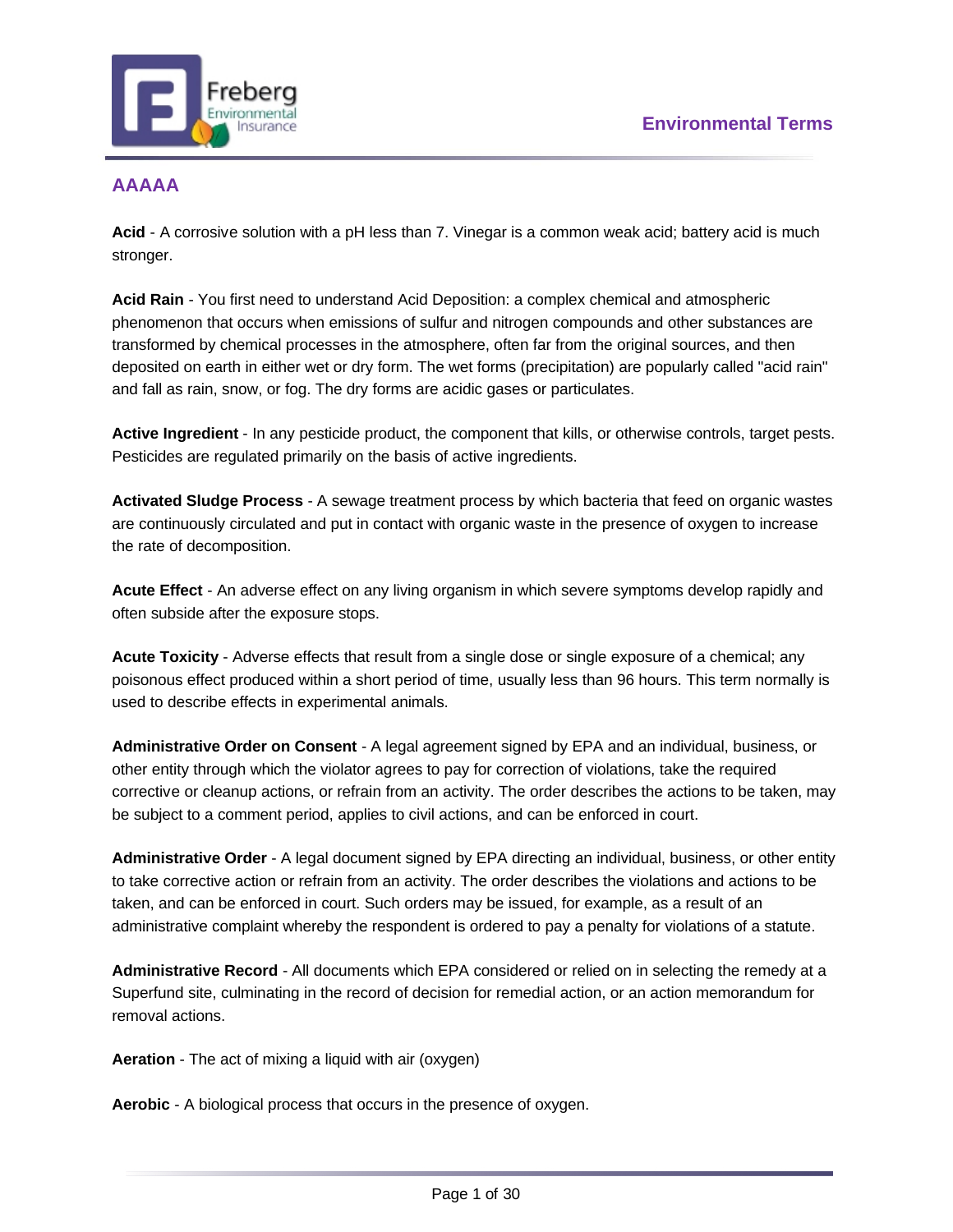

### **AAAAA**

Acid - A corrosive solution with a pH less than 7. Vinegar is a common weak acid; battery acid is much stronger.

**Acid Rain** - You first need to understand Acid Deposition: a complex chemical and atmospheric phenomenon that occurs when emissions of sulfur and nitrogen compounds and other substances are transformed by chemical processes in the atmosphere, often far from the original sources, and then deposited on earth in either wet or dry form. The wet forms (precipitation) are popularly called "acid rain" and fall as rain, snow, or fog. The dry forms are acidic gases or particulates.

**Active Ingredient** - In any pesticide product, the component that kills, or otherwise controls, target pests. Pesticides are regulated primarily on the basis of active ingredients.

**Activated Sludge Process** - A sewage treatment process by which bacteria that feed on organic wastes are continuously circulated and put in contact with organic waste in the presence of oxygen to increase the rate of decomposition.

**Acute Effect** - An adverse effect on any living organism in which severe symptoms develop rapidly and often subside after the exposure stops.

**Acute Toxicity** - Adverse effects that result from a single dose or single exposure of a chemical; any poisonous effect produced within a short period of time, usually less than 96 hours. This term normally is used to describe effects in experimental animals.

**Administrative Order on Consent** - A legal agreement signed by EPA and an individual, business, or other entity through which the violator agrees to pay for correction of violations, take the required corrective or cleanup actions, or refrain from an activity. The order describes the actions to be taken, may be subject to a comment period, applies to civil actions, and can be enforced in court.

**Administrative Order** - A legal document signed by EPA directing an individual, business, or other entity to take corrective action or refrain from an activity. The order describes the violations and actions to be taken, and can be enforced in court. Such orders may be issued, for example, as a result of an administrative complaint whereby the respondent is ordered to pay a penalty for violations of a statute.

**Administrative Record** - All documents which EPA considered or relied on in selecting the remedy at a Superfund site, culminating in the record of decision for remedial action, or an action memorandum for removal actions.

**Aeration** - The act of mixing a liquid with air (oxygen)

**Aerobic** - A biological process that occurs in the presence of oxygen.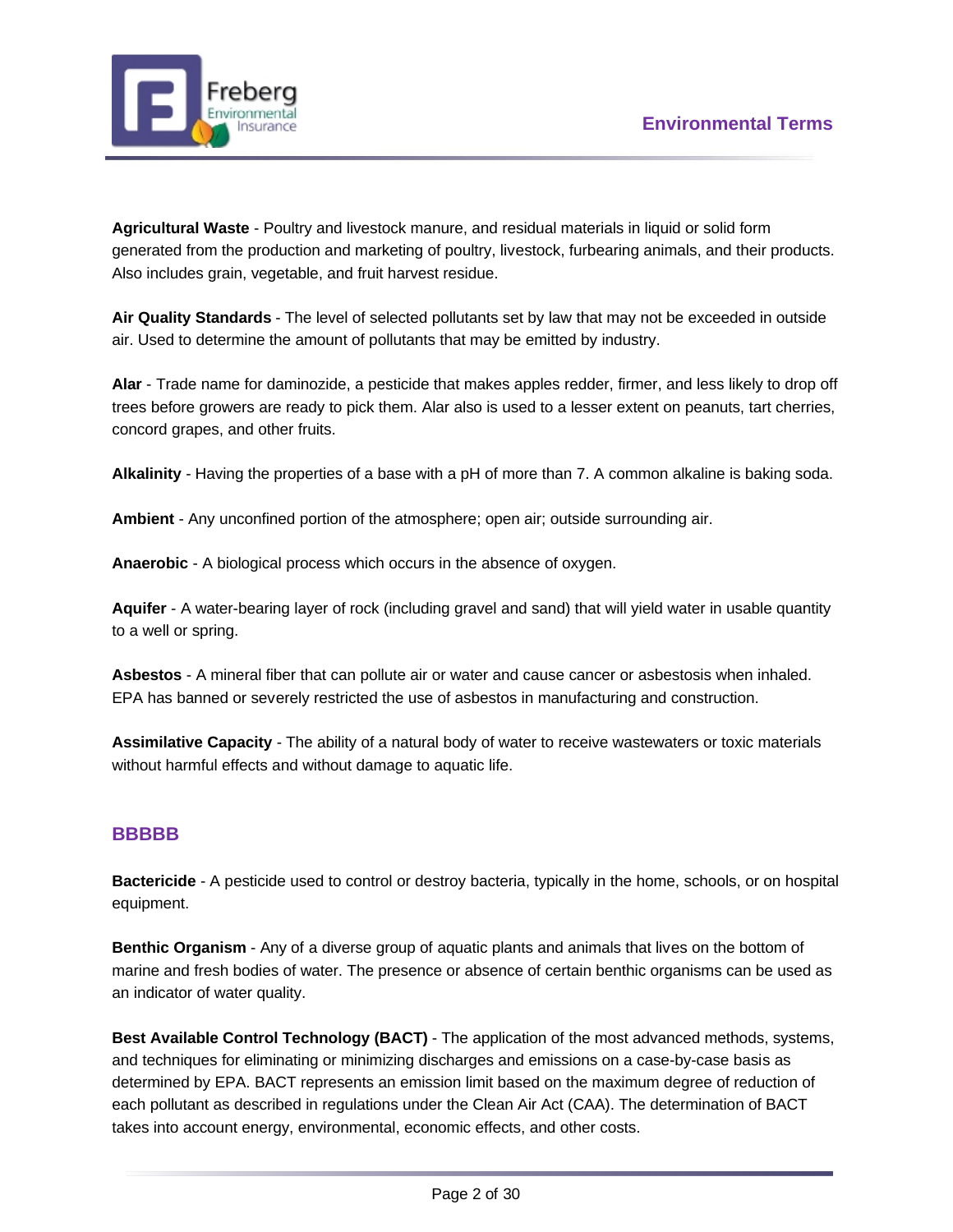

**Agricultural Waste** - Poultry and livestock manure, and residual materials in liquid or solid form generated from the production and marketing of poultry, livestock, furbearing animals, and their products. Also includes grain, vegetable, and fruit harvest residue.

**Air Quality Standards** - The level of selected pollutants set by law that may not be exceeded in outside air. Used to determine the amount of pollutants that may be emitted by industry.

**Alar** - Trade name for daminozide, a pesticide that makes apples redder, firmer, and less likely to drop off trees before growers are ready to pick them. Alar also is used to a lesser extent on peanuts, tart cherries, concord grapes, and other fruits.

**Alkalinity** - Having the properties of a base with a pH of more than 7. A common alkaline is baking soda.

**Ambient** - Any unconfined portion of the atmosphere; open air; outside surrounding air.

**Anaerobic** - A biological process which occurs in the absence of oxygen.

**Aquifer** - A water-bearing layer of rock (including gravel and sand) that will yield water in usable quantity to a well or spring.

**Asbestos** - A mineral fiber that can pollute air or water and cause cancer or asbestosis when inhaled. EPA has banned or severely restricted the use of asbestos in manufacturing and construction.

**Assimilative Capacity** - The ability of a natural body of water to receive wastewaters or toxic materials without harmful effects and without damage to aquatic life.

### **BBBBB**

**Bactericide** - A pesticide used to control or destroy bacteria, typically in the home, schools, or on hospital equipment.

**Benthic Organism** - Any of a diverse group of aquatic plants and animals that lives on the bottom of marine and fresh bodies of water. The presence or absence of certain benthic organisms can be used as an indicator of water quality.

**Best Available Control Technology (BACT)** - The application of the most advanced methods, systems, and techniques for eliminating or minimizing discharges and emissions on a case-by-case basis as determined by EPA. BACT represents an emission limit based on the maximum degree of reduction of each pollutant as described in regulations under the Clean Air Act (CAA). The determination of BACT takes into account energy, environmental, economic effects, and other costs.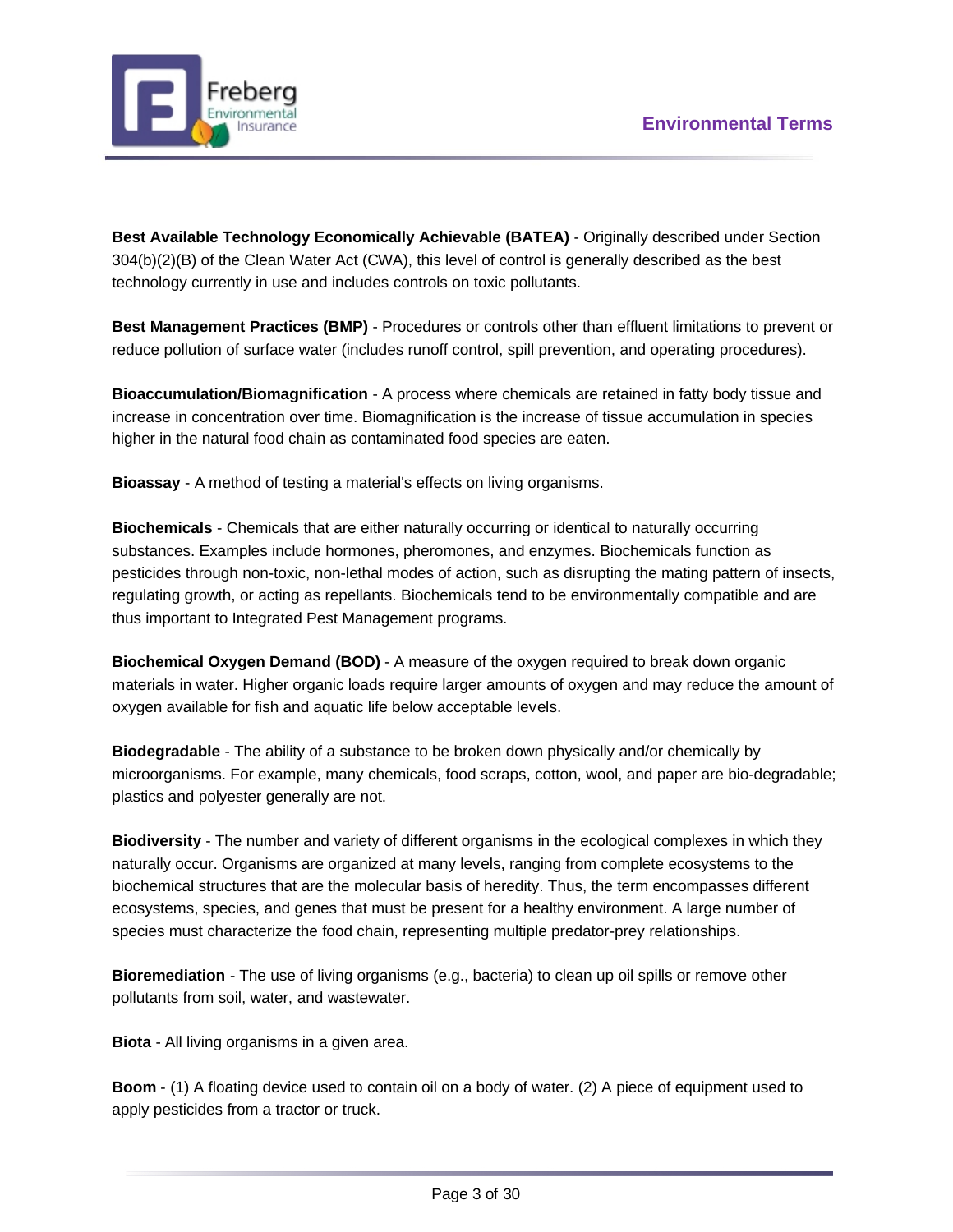

**Best Available Technology Economically Achievable (BATEA)** - Originally described under Section 304(b)(2)(B) of the Clean Water Act (CWA), this level of control is generally described as the best technology currently in use and includes controls on toxic pollutants.

**Best Management Practices (BMP)** - Procedures or controls other than effluent limitations to prevent or reduce pollution of surface water (includes runoff control, spill prevention, and operating procedures).

**Bioaccumulation/Biomagnification** - A process where chemicals are retained in fatty body tissue and increase in concentration over time. Biomagnification is the increase of tissue accumulation in species higher in the natural food chain as contaminated food species are eaten.

**Bioassay** - A method of testing a material's effects on living organisms.

**Biochemicals** - Chemicals that are either naturally occurring or identical to naturally occurring substances. Examples include hormones, pheromones, and enzymes. Biochemicals function as pesticides through non-toxic, non-lethal modes of action, such as disrupting the mating pattern of insects, regulating growth, or acting as repellants. Biochemicals tend to be environmentally compatible and are thus important to Integrated Pest Management programs.

**Biochemical Oxygen Demand (BOD)** - A measure of the oxygen required to break down organic materials in water. Higher organic loads require larger amounts of oxygen and may reduce the amount of oxygen available for fish and aquatic life below acceptable levels.

**Biodegradable** - The ability of a substance to be broken down physically and/or chemically by microorganisms. For example, many chemicals, food scraps, cotton, wool, and paper are bio-degradable; plastics and polyester generally are not.

**Biodiversity** - The number and variety of different organisms in the ecological complexes in which they naturally occur. Organisms are organized at many levels, ranging from complete ecosystems to the biochemical structures that are the molecular basis of heredity. Thus, the term encompasses different ecosystems, species, and genes that must be present for a healthy environment. A large number of species must characterize the food chain, representing multiple predator-prey relationships.

**Bioremediation** - The use of living organisms (e.g., bacteria) to clean up oil spills or remove other pollutants from soil, water, and wastewater.

**Biota** - All living organisms in a given area.

**Boom** - (1) A floating device used to contain oil on a body of water. (2) A piece of equipment used to apply pesticides from a tractor or truck.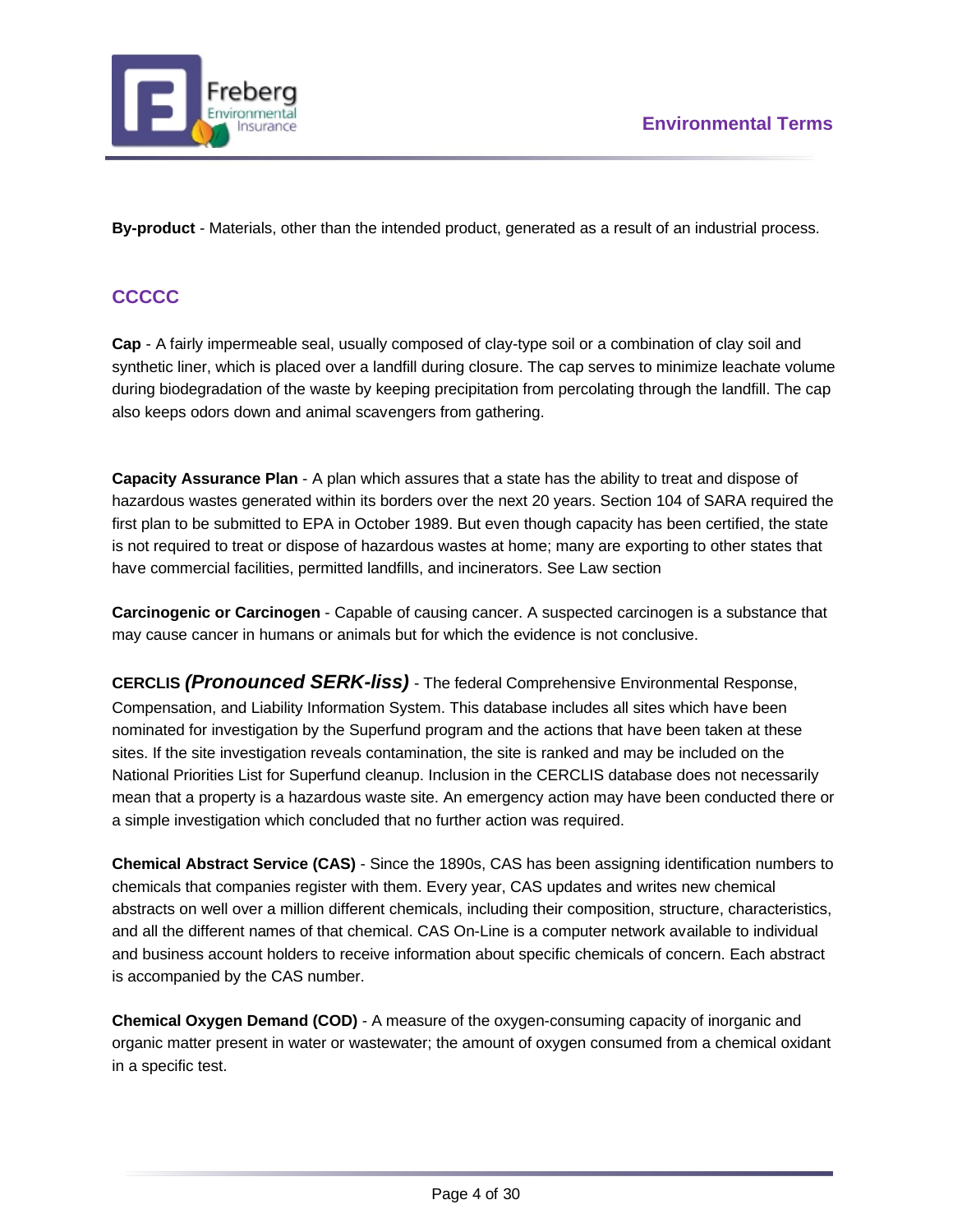

**By-product** - Materials, other than the intended product, generated as a result of an industrial process.

## **CCCCC**

**Cap** - A fairly impermeable seal, usually composed of clay-type soil or a combination of clay soil and synthetic liner, which is placed over a landfill during closure. The cap serves to minimize leachate volume during biodegradation of the waste by keeping precipitation from percolating through the landfill. The cap also keeps odors down and animal scavengers from gathering.

**Capacity Assurance Plan** - A plan which assures that a state has the ability to treat and dispose of hazardous wastes generated within its borders over the next 20 years. Section 104 of SARA required the first plan to be submitted to EPA in October 1989. But even though capacity has been certified, the state is not required to treat or dispose of hazardous wastes at home; many are exporting to other states that have commercial facilities, permitted landfills, and incinerators. See Law section

**Carcinogenic or Carcinogen** - Capable of causing cancer. A suspected carcinogen is a substance that may cause cancer in humans or animals but for which the evidence is not conclusive.

**CERCLIS** *(Pronounced SERK-liss)* - The federal Comprehensive Environmental Response, Compensation, and Liability Information System. This database includes all sites which have been nominated for investigation by the Superfund program and the actions that have been taken at these sites. If the site investigation reveals contamination, the site is ranked and may be included on the National Priorities List for Superfund cleanup. Inclusion in the CERCLIS database does not necessarily mean that a property is a hazardous waste site. An emergency action may have been conducted there or a simple investigation which concluded that no further action was required.

**Chemical Abstract Service (CAS)** - Since the 1890s, CAS has been assigning identification numbers to chemicals that companies register with them. Every year, CAS updates and writes new chemical abstracts on well over a million different chemicals, including their composition, structure, characteristics, and all the different names of that chemical. CAS On-Line is a computer network available to individual and business account holders to receive information about specific chemicals of concern. Each abstract is accompanied by the CAS number.

**Chemical Oxygen Demand (COD)** - A measure of the oxygen-consuming capacity of inorganic and organic matter present in water or wastewater; the amount of oxygen consumed from a chemical oxidant in a specific test.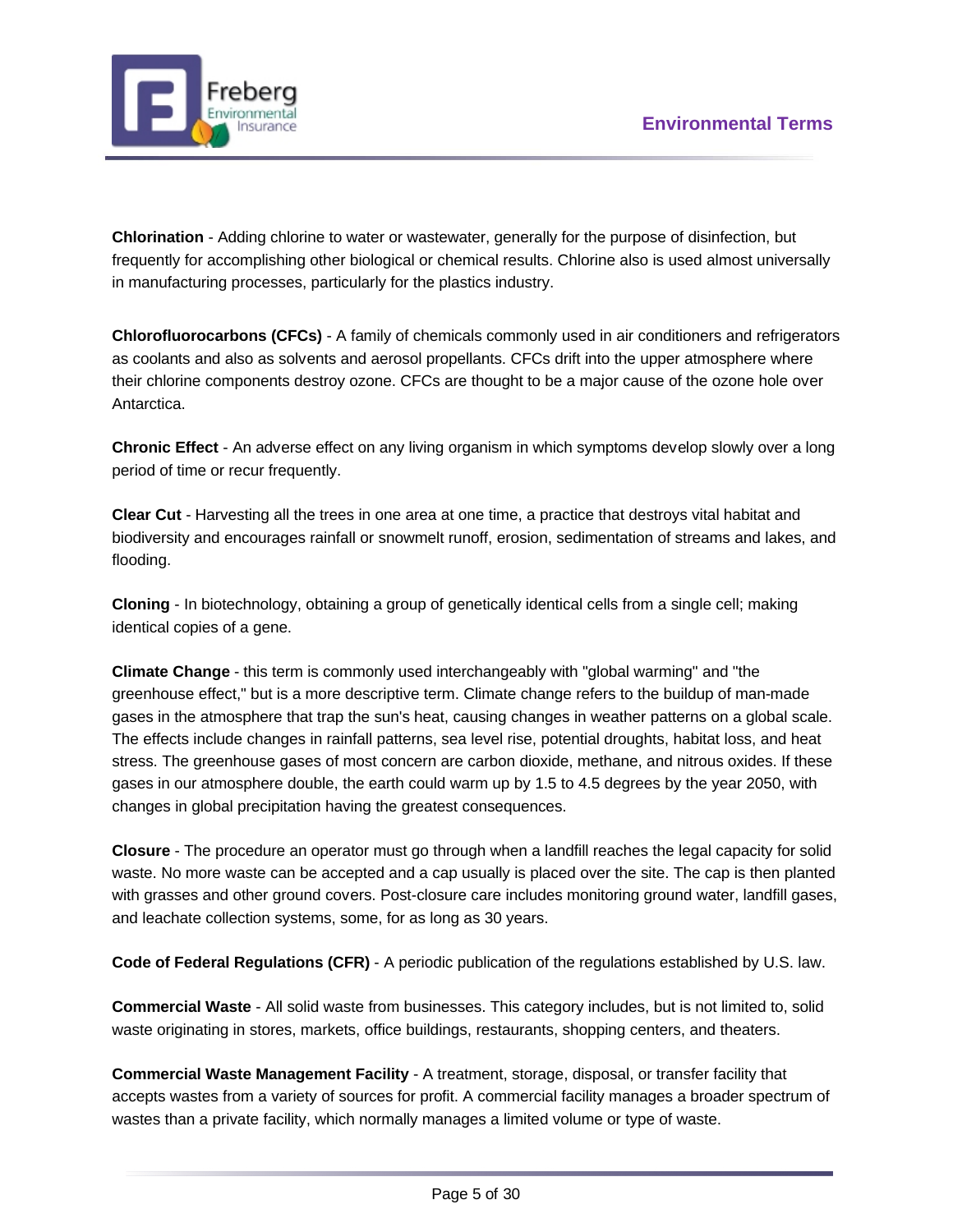

**Chlorination** - Adding chlorine to water or wastewater, generally for the purpose of disinfection, but frequently for accomplishing other biological or chemical results. Chlorine also is used almost universally in manufacturing processes, particularly for the plastics industry.

**Chlorofluorocarbons (CFCs)** - A family of chemicals commonly used in air conditioners and refrigerators as coolants and also as solvents and aerosol propellants. CFCs drift into the upper atmosphere where their chlorine components destroy ozone. CFCs are thought to be a major cause of the ozone hole over Antarctica.

**Chronic Effect** - An adverse effect on any living organism in which symptoms develop slowly over a long period of time or recur frequently.

**Clear Cut** - Harvesting all the trees in one area at one time, a practice that destroys vital habitat and biodiversity and encourages rainfall or snowmelt runoff, erosion, sedimentation of streams and lakes, and flooding.

**Cloning** - In biotechnology, obtaining a group of genetically identical cells from a single cell; making identical copies of a gene.

**Climate Change** - this term is commonly used interchangeably with "global warming" and "the greenhouse effect," but is a more descriptive term. Climate change refers to the buildup of man-made gases in the atmosphere that trap the sun's heat, causing changes in weather patterns on a global scale. The effects include changes in rainfall patterns, sea level rise, potential droughts, habitat loss, and heat stress. The greenhouse gases of most concern are carbon dioxide, methane, and nitrous oxides. If these gases in our atmosphere double, the earth could warm up by 1.5 to 4.5 degrees by the year 2050, with changes in global precipitation having the greatest consequences.

**Closure** - The procedure an operator must go through when a landfill reaches the legal capacity for solid waste. No more waste can be accepted and a cap usually is placed over the site. The cap is then planted with grasses and other ground covers. Post-closure care includes monitoring ground water, landfill gases, and leachate collection systems, some, for as long as 30 years.

**Code of Federal Regulations (CFR)** - A periodic publication of the regulations established by U.S. law.

**Commercial Waste** - All solid waste from businesses. This category includes, but is not limited to, solid waste originating in stores, markets, office buildings, restaurants, shopping centers, and theaters.

**Commercial Waste Management Facility** - A treatment, storage, disposal, or transfer facility that accepts wastes from a variety of sources for profit. A commercial facility manages a broader spectrum of wastes than a private facility, which normally manages a limited volume or type of waste.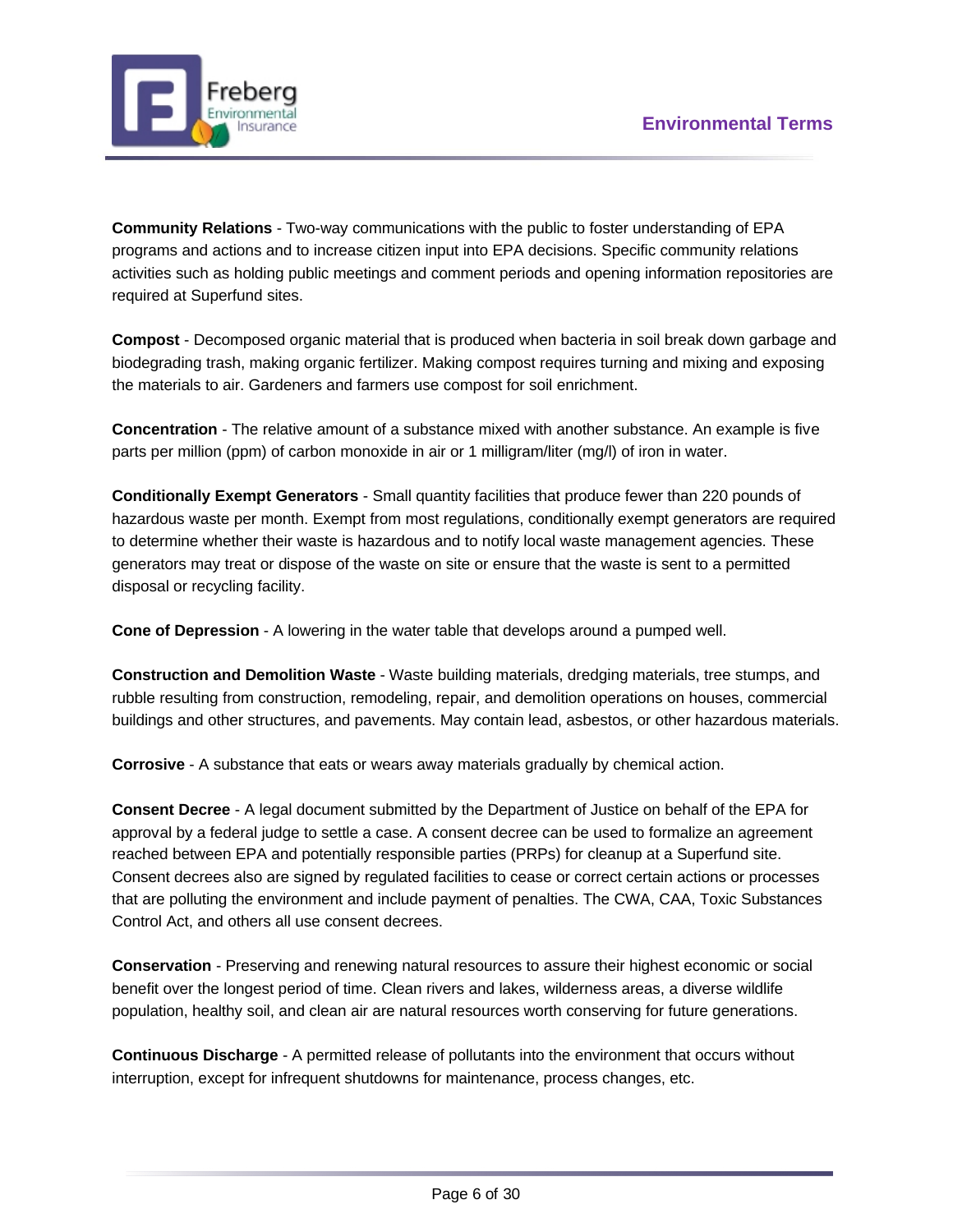

**Community Relations** - Two-way communications with the public to foster understanding of EPA programs and actions and to increase citizen input into EPA decisions. Specific community relations activities such as holding public meetings and comment periods and opening information repositories are required at Superfund sites.

**Compost** - Decomposed organic material that is produced when bacteria in soil break down garbage and biodegrading trash, making organic fertilizer. Making compost requires turning and mixing and exposing the materials to air. Gardeners and farmers use compost for soil enrichment.

**Concentration** - The relative amount of a substance mixed with another substance. An example is five parts per million (ppm) of carbon monoxide in air or 1 milligram/liter (mg/l) of iron in water.

**Conditionally Exempt Generators** - Small quantity facilities that produce fewer than 220 pounds of hazardous waste per month. Exempt from most regulations, conditionally exempt generators are required to determine whether their waste is hazardous and to notify local waste management agencies. These generators may treat or dispose of the waste on site or ensure that the waste is sent to a permitted disposal or recycling facility.

**Cone of Depression** - A lowering in the water table that develops around a pumped well.

**Construction and Demolition Waste** - Waste building materials, dredging materials, tree stumps, and rubble resulting from construction, remodeling, repair, and demolition operations on houses, commercial buildings and other structures, and pavements. May contain lead, asbestos, or other hazardous materials.

**Corrosive** - A substance that eats or wears away materials gradually by chemical action.

**Consent Decree** - A legal document submitted by the Department of Justice on behalf of the EPA for approval by a federal judge to settle a case. A consent decree can be used to formalize an agreement reached between EPA and potentially responsible parties (PRPs) for cleanup at a Superfund site. Consent decrees also are signed by regulated facilities to cease or correct certain actions or processes that are polluting the environment and include payment of penalties. The CWA, CAA, Toxic Substances Control Act, and others all use consent decrees.

**Conservation** - Preserving and renewing natural resources to assure their highest economic or social benefit over the longest period of time. Clean rivers and lakes, wilderness areas, a diverse wildlife population, healthy soil, and clean air are natural resources worth conserving for future generations.

**Continuous Discharge** - A permitted release of pollutants into the environment that occurs without interruption, except for infrequent shutdowns for maintenance, process changes, etc.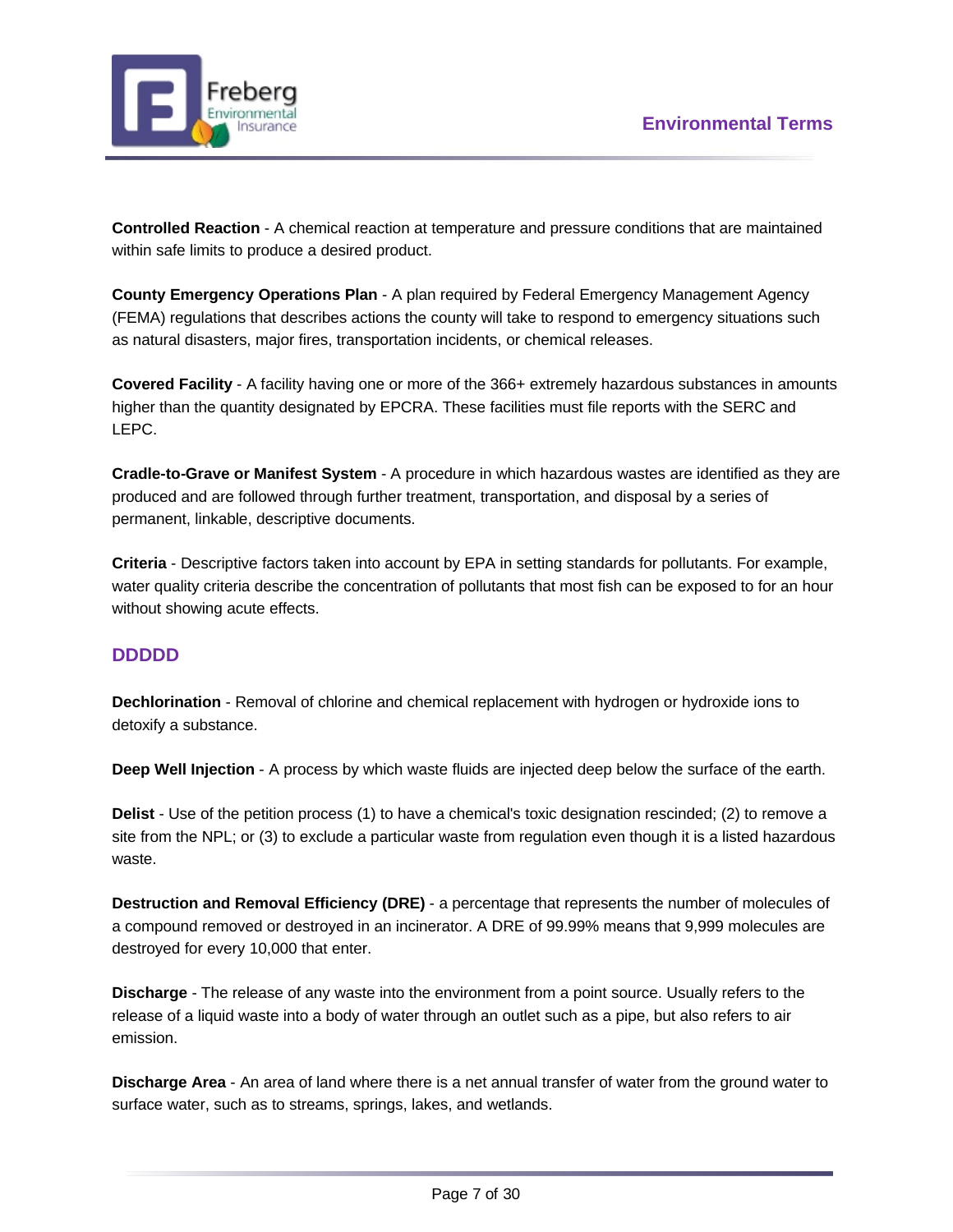

**Controlled Reaction** - A chemical reaction at temperature and pressure conditions that are maintained within safe limits to produce a desired product.

**County Emergency Operations Plan** - A plan required by Federal Emergency Management Agency (FEMA) regulations that describes actions the county will take to respond to emergency situations such as natural disasters, major fires, transportation incidents, or chemical releases.

**Covered Facility** - A facility having one or more of the 366+ extremely hazardous substances in amounts higher than the quantity designated by EPCRA. These facilities must file reports with the SERC and LEPC.

**Cradle-to-Grave or Manifest System** - A procedure in which hazardous wastes are identified as they are produced and are followed through further treatment, transportation, and disposal by a series of permanent, linkable, descriptive documents.

**Criteria** - Descriptive factors taken into account by EPA in setting standards for pollutants. For example, water quality criteria describe the concentration of pollutants that most fish can be exposed to for an hour without showing acute effects.

### **DDDDD**

**Dechlorination** - Removal of chlorine and chemical replacement with hydrogen or hydroxide ions to detoxify a substance.

**Deep Well Injection** - A process by which waste fluids are injected deep below the surface of the earth.

**Delist** - Use of the petition process (1) to have a chemical's toxic designation rescinded; (2) to remove a site from the NPL; or (3) to exclude a particular waste from regulation even though it is a listed hazardous waste.

**Destruction and Removal Efficiency (DRE)** - a percentage that represents the number of molecules of a compound removed or destroyed in an incinerator. A DRE of 99.99% means that 9,999 molecules are destroyed for every 10,000 that enter.

**Discharge** - The release of any waste into the environment from a point source. Usually refers to the release of a liquid waste into a body of water through an outlet such as a pipe, but also refers to air emission.

**Discharge Area** - An area of land where there is a net annual transfer of water from the ground water to surface water, such as to streams, springs, lakes, and wetlands.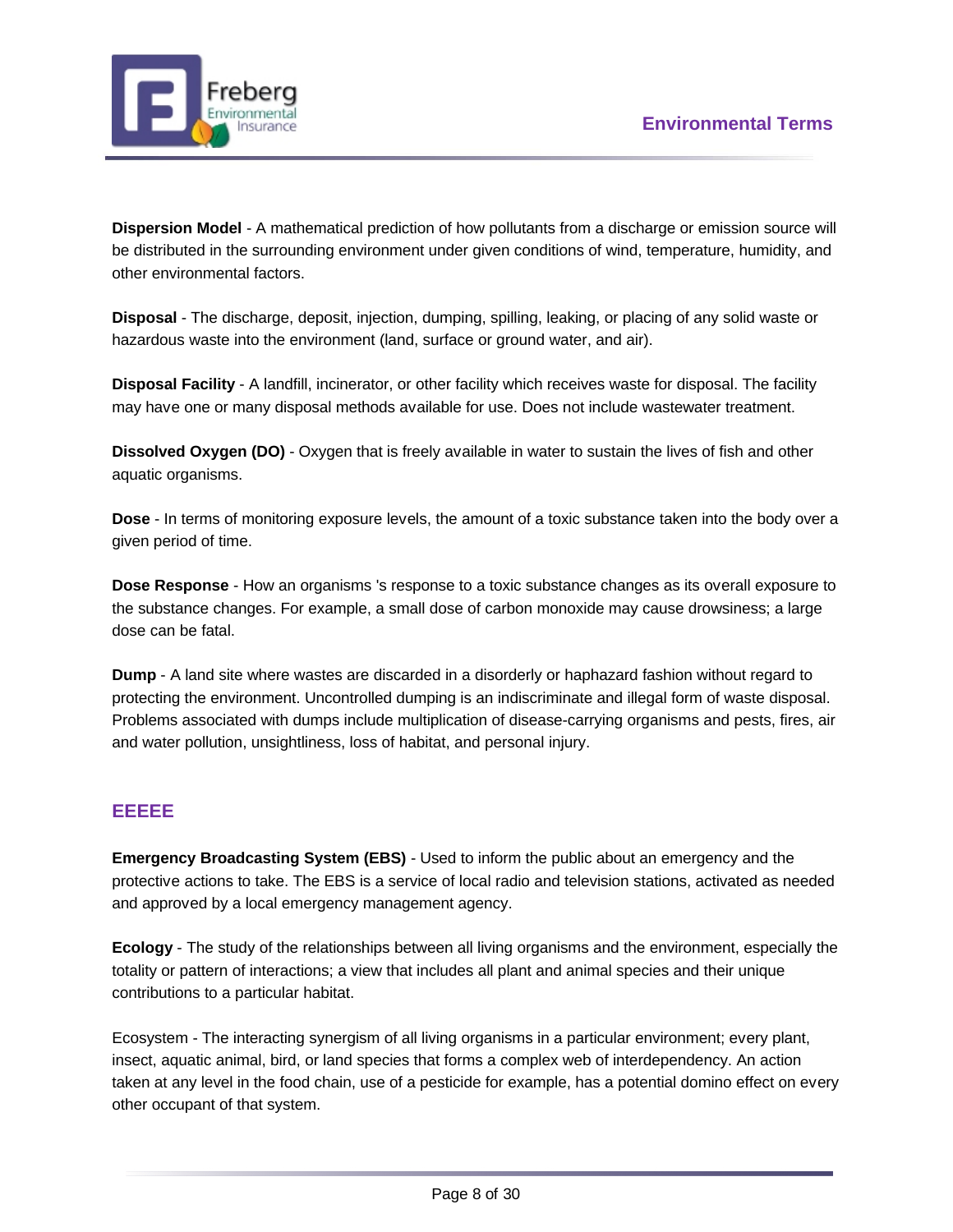

**Dispersion Model** - A mathematical prediction of how pollutants from a discharge or emission source will be distributed in the surrounding environment under given conditions of wind, temperature, humidity, and other environmental factors.

**Disposal** - The discharge, deposit, injection, dumping, spilling, leaking, or placing of any solid waste or hazardous waste into the environment (land, surface or ground water, and air).

**Disposal Facility** - A landfill, incinerator, or other facility which receives waste for disposal. The facility may have one or many disposal methods available for use. Does not include wastewater treatment.

**Dissolved Oxygen (DO)** - Oxygen that is freely available in water to sustain the lives of fish and other aquatic organisms.

**Dose** - In terms of monitoring exposure levels, the amount of a toxic substance taken into the body over a given period of time.

**Dose Response** - How an organisms 's response to a toxic substance changes as its overall exposure to the substance changes. For example, a small dose of carbon monoxide may cause drowsiness; a large dose can be fatal.

**Dump** - A land site where wastes are discarded in a disorderly or haphazard fashion without regard to protecting the environment. Uncontrolled dumping is an indiscriminate and illegal form of waste disposal. Problems associated with dumps include multiplication of disease-carrying organisms and pests, fires, air and water pollution, unsightliness, loss of habitat, and personal injury.

### **EEEEE**

**Emergency Broadcasting System (EBS)** - Used to inform the public about an emergency and the protective actions to take. The EBS is a service of local radio and television stations, activated as needed and approved by a local emergency management agency.

**Ecology** - The study of the relationships between all living organisms and the environment, especially the totality or pattern of interactions; a view that includes all plant and animal species and their unique contributions to a particular habitat.

Ecosystem - The interacting synergism of all living organisms in a particular environment; every plant, insect, aquatic animal, bird, or land species that forms a complex web of interdependency. An action taken at any level in the food chain, use of a pesticide for example, has a potential domino effect on every other occupant of that system.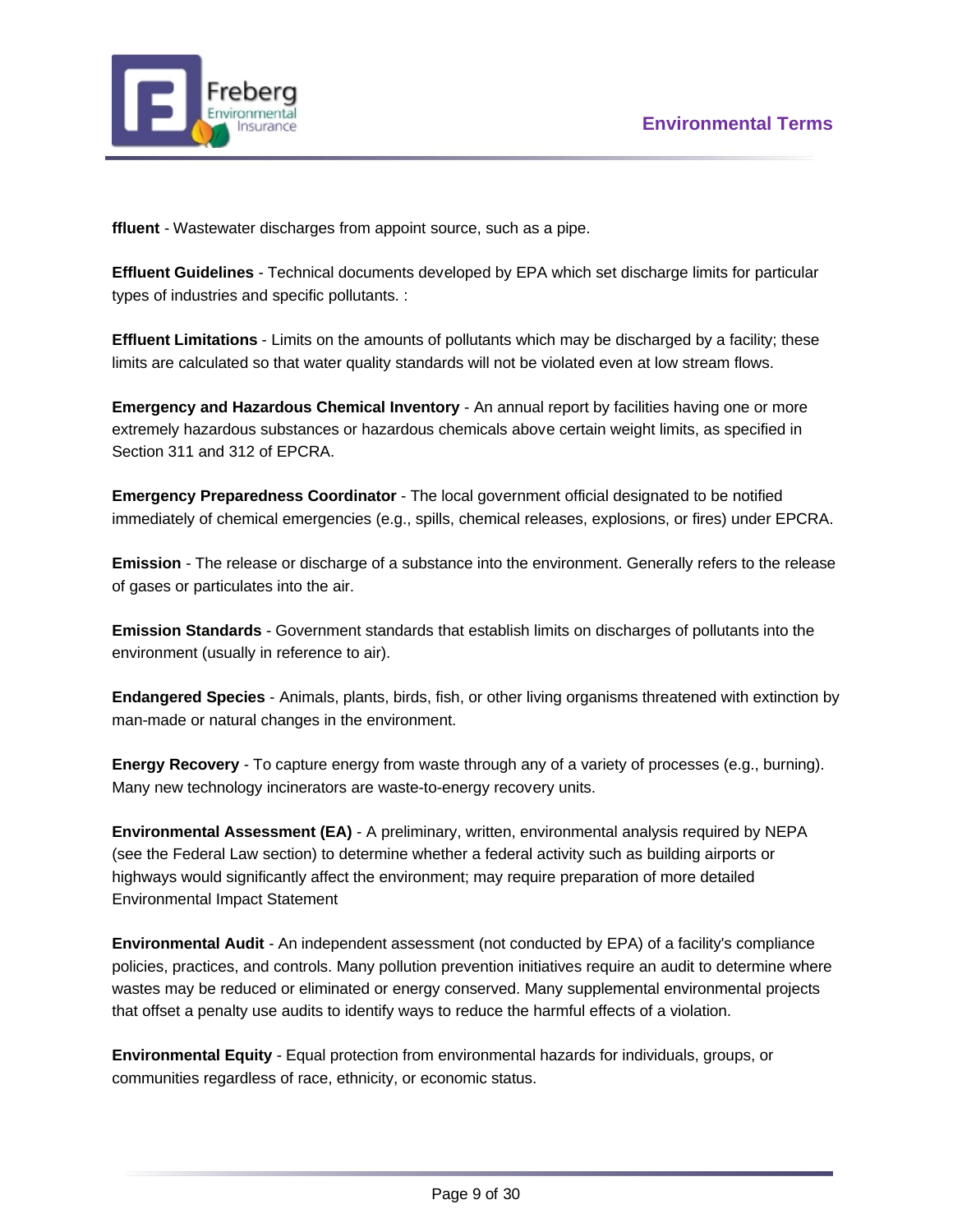

**ffluent** - Wastewater discharges from appoint source, such as a pipe.

**Effluent Guidelines** - Technical documents developed by EPA which set discharge limits for particular types of industries and specific pollutants. :

**Effluent Limitations** - Limits on the amounts of pollutants which may be discharged by a facility; these limits are calculated so that water quality standards will not be violated even at low stream flows.

**Emergency and Hazardous Chemical Inventory** - An annual report by facilities having one or more extremely hazardous substances or hazardous chemicals above certain weight limits, as specified in Section 311 and 312 of EPCRA.

**Emergency Preparedness Coordinator** - The local government official designated to be notified immediately of chemical emergencies (e.g., spills, chemical releases, explosions, or fires) under EPCRA.

**Emission** - The release or discharge of a substance into the environment. Generally refers to the release of gases or particulates into the air.

**Emission Standards** - Government standards that establish limits on discharges of pollutants into the environment (usually in reference to air).

**Endangered Species** - Animals, plants, birds, fish, or other living organisms threatened with extinction by man-made or natural changes in the environment.

**Energy Recovery** - To capture energy from waste through any of a variety of processes (e.g., burning). Many new technology incinerators are waste-to-energy recovery units.

**Environmental Assessment (EA)** - A preliminary, written, environmental analysis required by NEPA (see the Federal Law section) to determine whether a federal activity such as building airports or highways would significantly affect the environment; may require preparation of more detailed Environmental Impact Statement

**Environmental Audit** - An independent assessment (not conducted by EPA) of a facility's compliance policies, practices, and controls. Many pollution prevention initiatives require an audit to determine where wastes may be reduced or eliminated or energy conserved. Many supplemental environmental projects that offset a penalty use audits to identify ways to reduce the harmful effects of a violation.

**Environmental Equity** - Equal protection from environmental hazards for individuals, groups, or communities regardless of race, ethnicity, or economic status.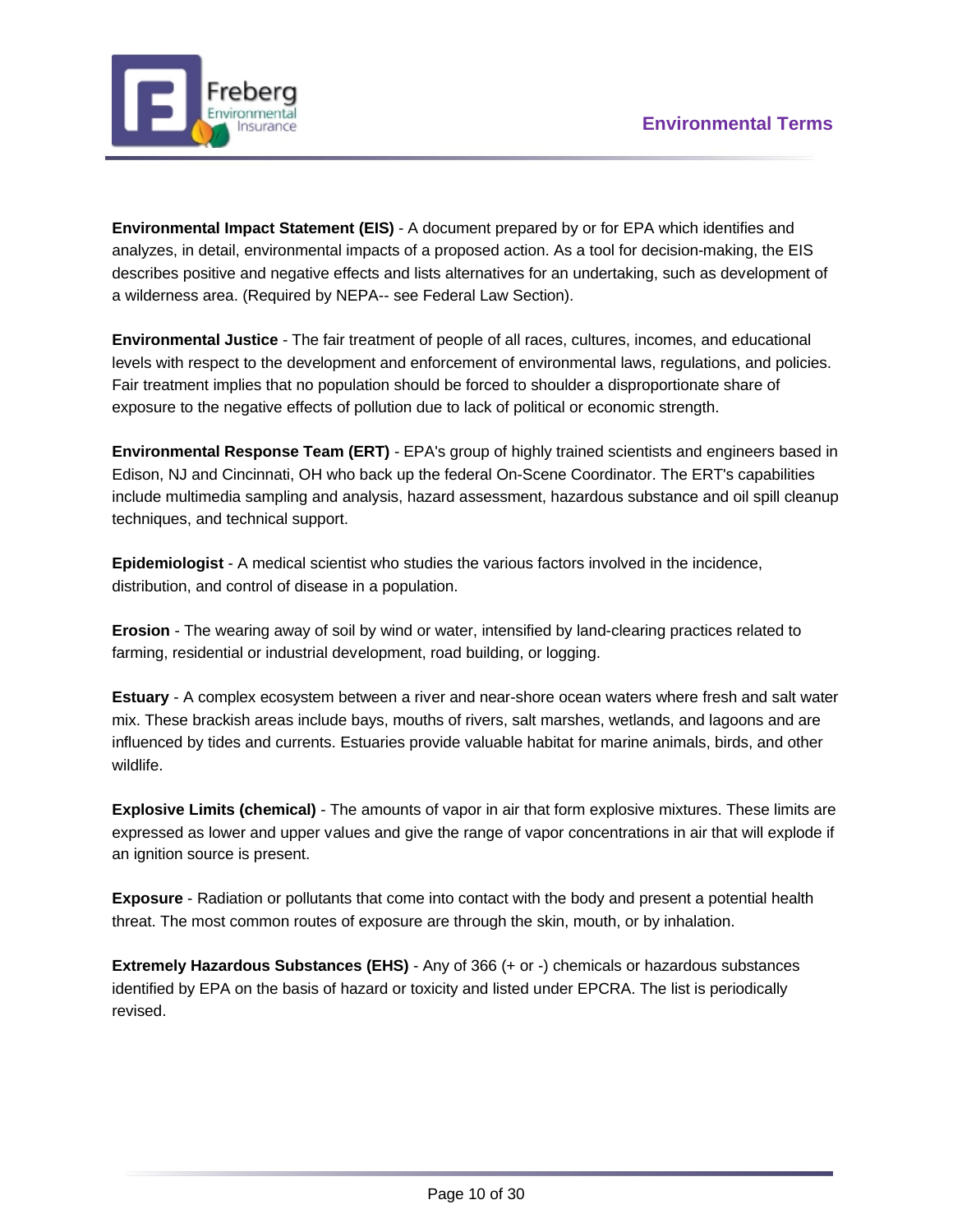

**Environmental Impact Statement (EIS)** - A document prepared by or for EPA which identifies and analyzes, in detail, environmental impacts of a proposed action. As a tool for decision-making, the EIS describes positive and negative effects and lists alternatives for an undertaking, such as development of a wilderness area. (Required by NEPA-- see Federal Law Section).

**Environmental Justice** - The fair treatment of people of all races, cultures, incomes, and educational levels with respect to the development and enforcement of environmental laws, regulations, and policies. Fair treatment implies that no population should be forced to shoulder a disproportionate share of exposure to the negative effects of pollution due to lack of political or economic strength.

**Environmental Response Team (ERT)** - EPA's group of highly trained scientists and engineers based in Edison, NJ and Cincinnati, OH who back up the federal On-Scene Coordinator. The ERT's capabilities include multimedia sampling and analysis, hazard assessment, hazardous substance and oil spill cleanup techniques, and technical support.

**Epidemiologist** - A medical scientist who studies the various factors involved in the incidence, distribution, and control of disease in a population.

**Erosion** - The wearing away of soil by wind or water, intensified by land-clearing practices related to farming, residential or industrial development, road building, or logging.

**Estuary** - A complex ecosystem between a river and near-shore ocean waters where fresh and salt water mix. These brackish areas include bays, mouths of rivers, salt marshes, wetlands, and lagoons and are influenced by tides and currents. Estuaries provide valuable habitat for marine animals, birds, and other wildlife.

**Explosive Limits (chemical)** - The amounts of vapor in air that form explosive mixtures. These limits are expressed as lower and upper values and give the range of vapor concentrations in air that will explode if an ignition source is present.

**Exposure** - Radiation or pollutants that come into contact with the body and present a potential health threat. The most common routes of exposure are through the skin, mouth, or by inhalation.

**Extremely Hazardous Substances (EHS)** - Any of 366 (+ or -) chemicals or hazardous substances identified by EPA on the basis of hazard or toxicity and listed under EPCRA. The list is periodically revised.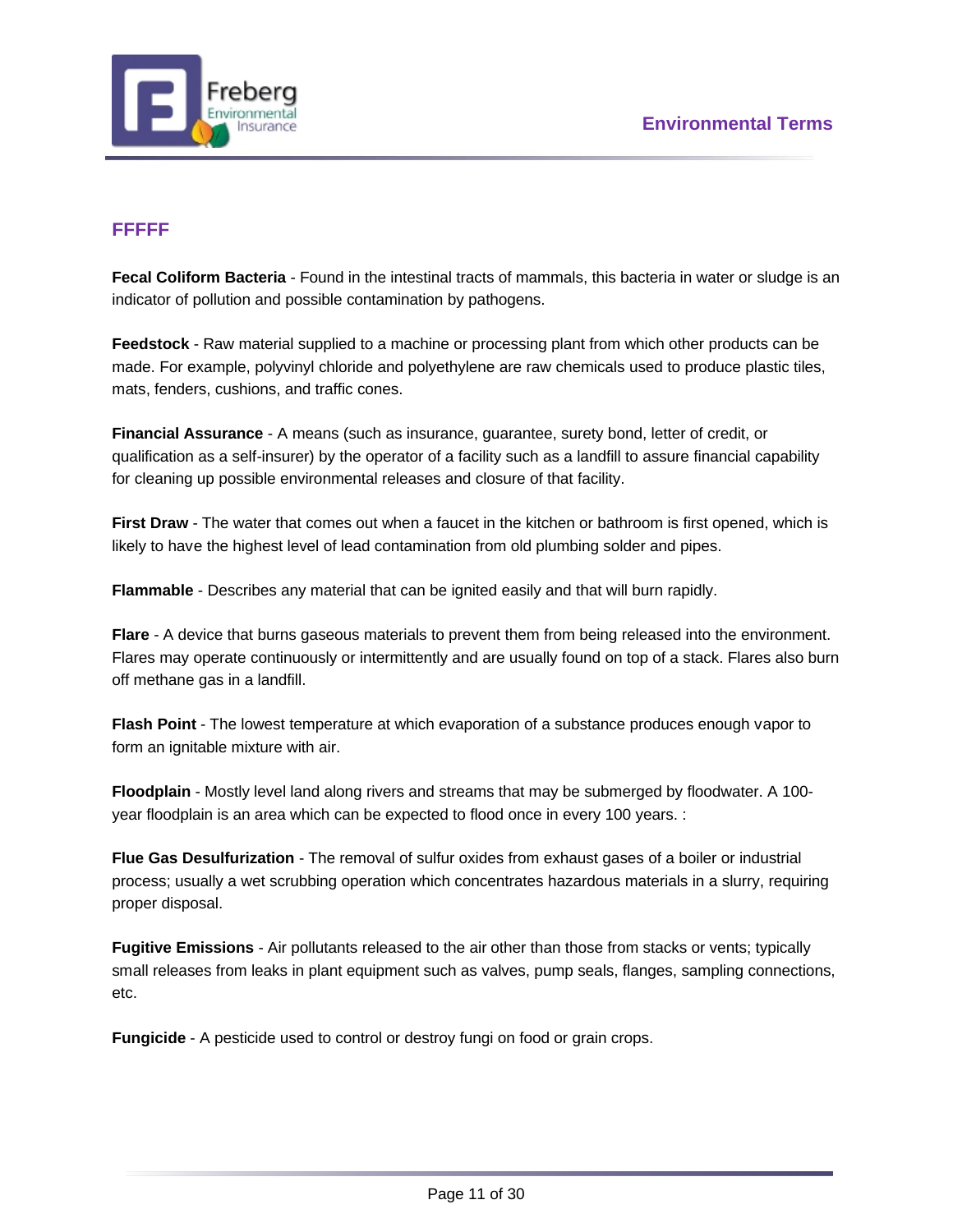

## **FFFFF**

**Fecal Coliform Bacteria** - Found in the intestinal tracts of mammals, this bacteria in water or sludge is an indicator of pollution and possible contamination by pathogens.

**Feedstock** - Raw material supplied to a machine or processing plant from which other products can be made. For example, polyvinyl chloride and polyethylene are raw chemicals used to produce plastic tiles, mats, fenders, cushions, and traffic cones.

**Financial Assurance** - A means (such as insurance, guarantee, surety bond, letter of credit, or qualification as a self-insurer) by the operator of a facility such as a landfill to assure financial capability for cleaning up possible environmental releases and closure of that facility.

**First Draw** - The water that comes out when a faucet in the kitchen or bathroom is first opened, which is likely to have the highest level of lead contamination from old plumbing solder and pipes.

**Flammable** - Describes any material that can be ignited easily and that will burn rapidly.

**Flare** - A device that burns gaseous materials to prevent them from being released into the environment. Flares may operate continuously or intermittently and are usually found on top of a stack. Flares also burn off methane gas in a landfill.

**Flash Point** - The lowest temperature at which evaporation of a substance produces enough vapor to form an ignitable mixture with air.

**Floodplain** - Mostly level land along rivers and streams that may be submerged by floodwater. A 100 year floodplain is an area which can be expected to flood once in every 100 years. :

**Flue Gas Desulfurization** - The removal of sulfur oxides from exhaust gases of a boiler or industrial process; usually a wet scrubbing operation which concentrates hazardous materials in a slurry, requiring proper disposal.

**Fugitive Emissions** - Air pollutants released to the air other than those from stacks or vents; typically small releases from leaks in plant equipment such as valves, pump seals, flanges, sampling connections, etc.

**Fungicide** - A pesticide used to control or destroy fungi on food or grain crops.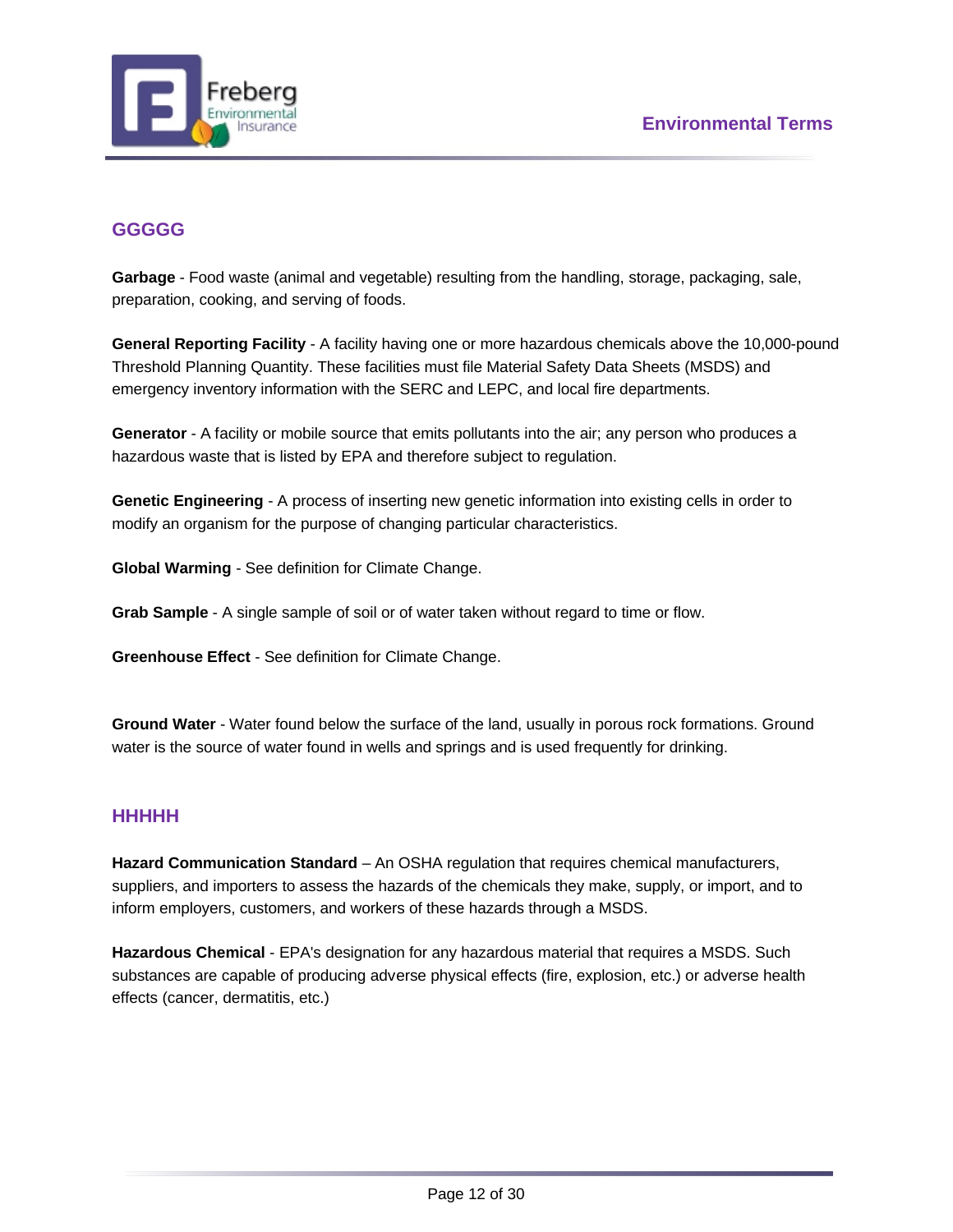

## **GGGGG**

**Garbage** - Food waste (animal and vegetable) resulting from the handling, storage, packaging, sale, preparation, cooking, and serving of foods.

**General Reporting Facility** - A facility having one or more hazardous chemicals above the 10,000-pound Threshold Planning Quantity. These facilities must file Material Safety Data Sheets (MSDS) and emergency inventory information with the SERC and LEPC, and local fire departments.

**Generator** - A facility or mobile source that emits pollutants into the air; any person who produces a hazardous waste that is listed by EPA and therefore subject to regulation.

**Genetic Engineering** - A process of inserting new genetic information into existing cells in order to modify an organism for the purpose of changing particular characteristics.

**Global Warming** - See definition for Climate Change.

**Grab Sample** - A single sample of soil or of water taken without regard to time or flow.

**Greenhouse Effect** - See definition for Climate Change.

**Ground Water** - Water found below the surface of the land, usually in porous rock formations. Ground water is the source of water found in wells and springs and is used frequently for drinking.

### **HHHHH**

**Hazard Communication Standard** – An OSHA regulation that requires chemical manufacturers, suppliers, and importers to assess the hazards of the chemicals they make, supply, or import, and to inform employers, customers, and workers of these hazards through a MSDS.

**Hazardous Chemical** - EPA's designation for any hazardous material that requires a MSDS. Such substances are capable of producing adverse physical effects (fire, explosion, etc.) or adverse health effects (cancer, dermatitis, etc.)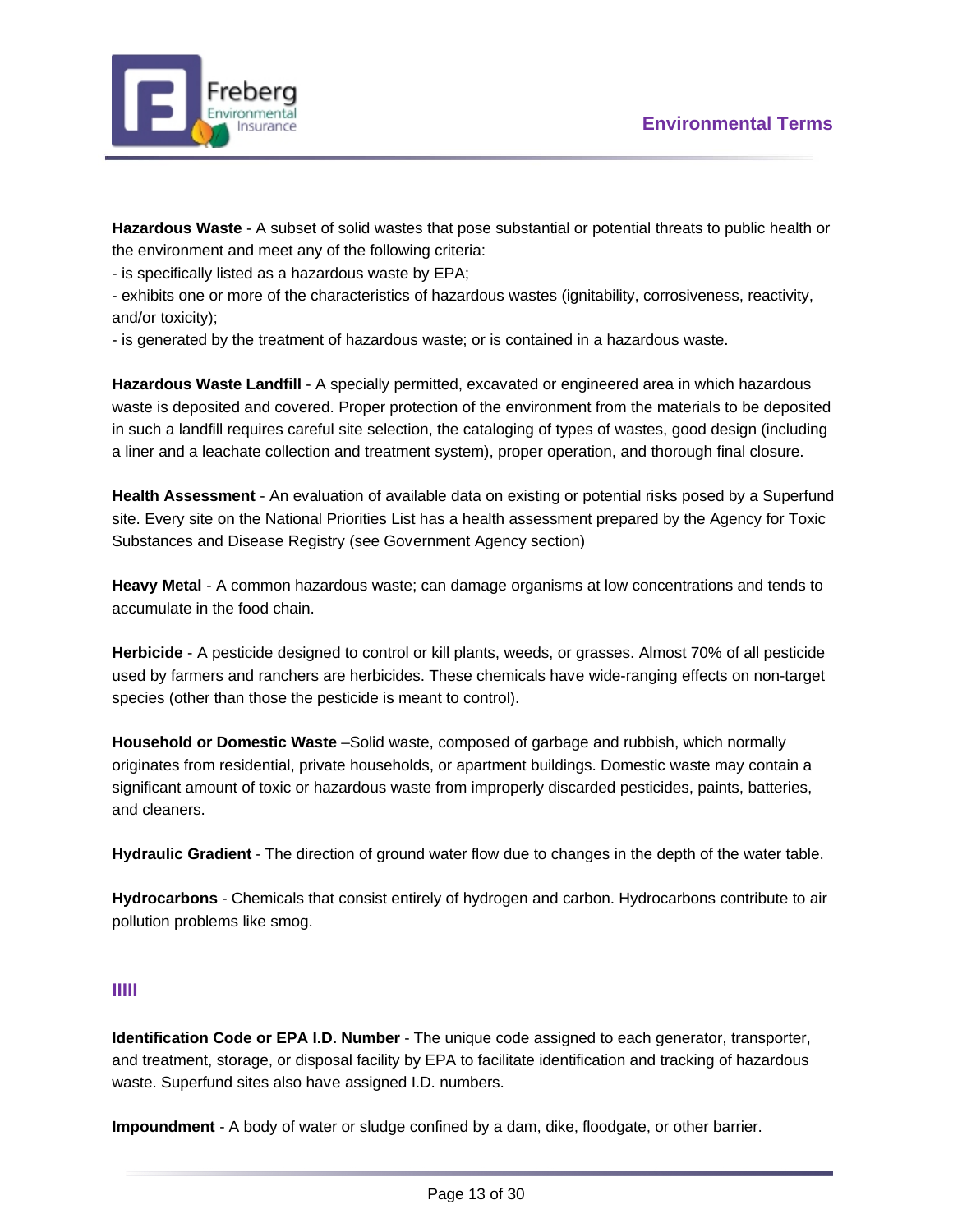

**Hazardous Waste** - A subset of solid wastes that pose substantial or potential threats to public health or the environment and meet any of the following criteria:

- is specifically listed as a hazardous waste by EPA;

- exhibits one or more of the characteristics of hazardous wastes (ignitability, corrosiveness, reactivity, and/or toxicity);

- is generated by the treatment of hazardous waste; or is contained in a hazardous waste.

**Hazardous Waste Landfill** - A specially permitted, excavated or engineered area in which hazardous waste is deposited and covered. Proper protection of the environment from the materials to be deposited in such a landfill requires careful site selection, the cataloging of types of wastes, good design (including a liner and a leachate collection and treatment system), proper operation, and thorough final closure.

**Health Assessment** - An evaluation of available data on existing or potential risks posed by a Superfund site. Every site on the National Priorities List has a health assessment prepared by the Agency for Toxic Substances and Disease Registry (see Government Agency section)

**Heavy Metal** - A common hazardous waste; can damage organisms at low concentrations and tends to accumulate in the food chain.

**Herbicide** - A pesticide designed to control or kill plants, weeds, or grasses. Almost 70% of all pesticide used by farmers and ranchers are herbicides. These chemicals have wide-ranging effects on non-target species (other than those the pesticide is meant to control).

**Household or Domestic Waste** –Solid waste, composed of garbage and rubbish, which normally originates from residential, private households, or apartment buildings. Domestic waste may contain a significant amount of toxic or hazardous waste from improperly discarded pesticides, paints, batteries, and cleaners.

**Hydraulic Gradient** - The direction of ground water flow due to changes in the depth of the water table.

**Hydrocarbons** - Chemicals that consist entirely of hydrogen and carbon. Hydrocarbons contribute to air pollution problems like smog.

#### **IIIII**

**Identification Code or EPA I.D. Number** - The unique code assigned to each generator, transporter, and treatment, storage, or disposal facility by EPA to facilitate identification and tracking of hazardous waste. Superfund sites also have assigned I.D. numbers.

**Impoundment** - A body of water or sludge confined by a dam, dike, floodgate, or other barrier.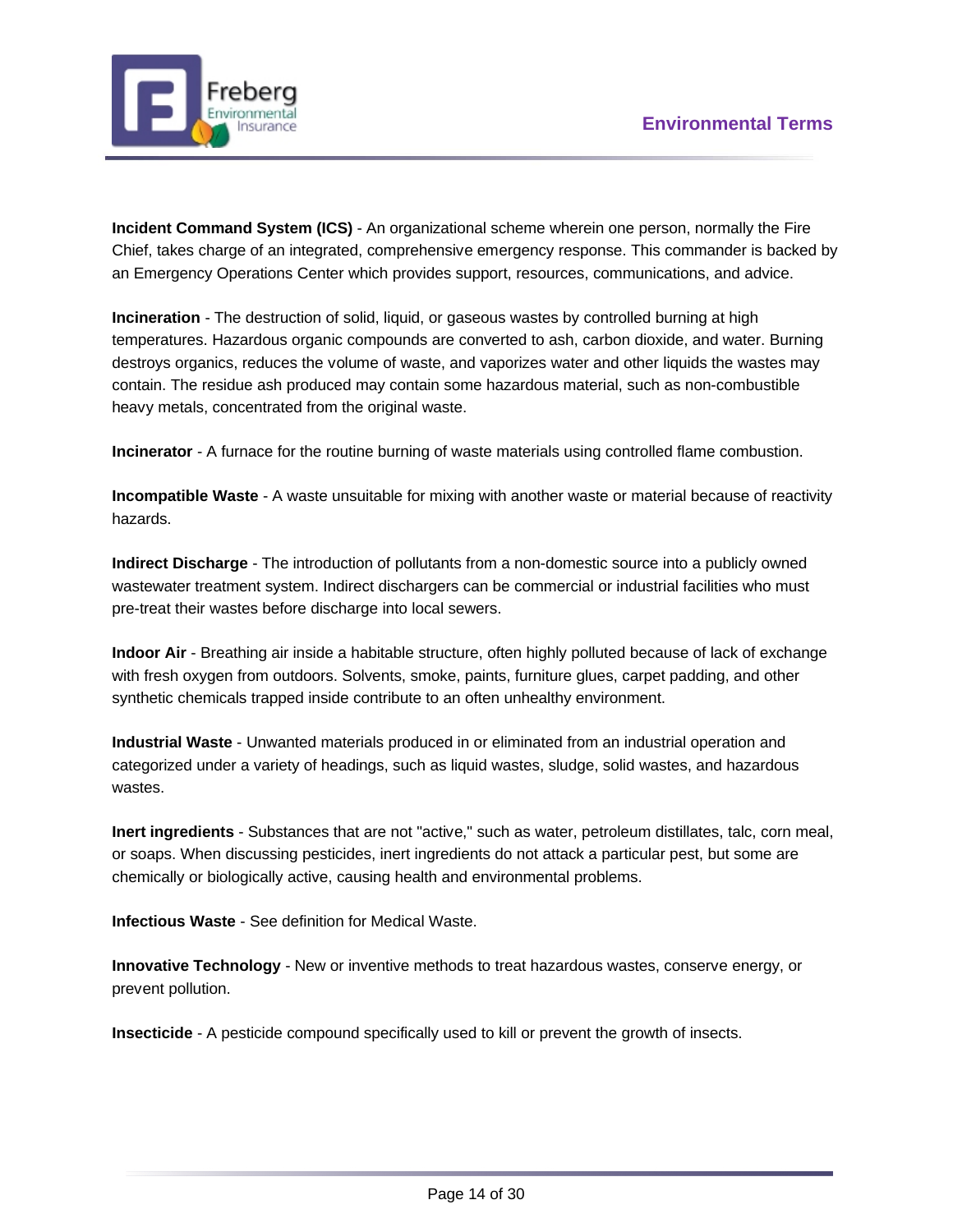

**Incident Command System (ICS)** - An organizational scheme wherein one person, normally the Fire Chief, takes charge of an integrated, comprehensive emergency response. This commander is backed by an Emergency Operations Center which provides support, resources, communications, and advice.

**Incineration** - The destruction of solid, liquid, or gaseous wastes by controlled burning at high temperatures. Hazardous organic compounds are converted to ash, carbon dioxide, and water. Burning destroys organics, reduces the volume of waste, and vaporizes water and other liquids the wastes may contain. The residue ash produced may contain some hazardous material, such as non-combustible heavy metals, concentrated from the original waste.

**Incinerator** - A furnace for the routine burning of waste materials using controlled flame combustion.

**Incompatible Waste** - A waste unsuitable for mixing with another waste or material because of reactivity hazards.

**Indirect Discharge** - The introduction of pollutants from a non-domestic source into a publicly owned wastewater treatment system. Indirect dischargers can be commercial or industrial facilities who must pre-treat their wastes before discharge into local sewers.

**Indoor Air** - Breathing air inside a habitable structure, often highly polluted because of lack of exchange with fresh oxygen from outdoors. Solvents, smoke, paints, furniture glues, carpet padding, and other synthetic chemicals trapped inside contribute to an often unhealthy environment.

**Industrial Waste** - Unwanted materials produced in or eliminated from an industrial operation and categorized under a variety of headings, such as liquid wastes, sludge, solid wastes, and hazardous wastes.

**Inert ingredients** - Substances that are not "active," such as water, petroleum distillates, talc, corn meal, or soaps. When discussing pesticides, inert ingredients do not attack a particular pest, but some are chemically or biologically active, causing health and environmental problems.

**Infectious Waste** - See definition for Medical Waste.

**Innovative Technology** - New or inventive methods to treat hazardous wastes, conserve energy, or prevent pollution.

**Insecticide** - A pesticide compound specifically used to kill or prevent the growth of insects.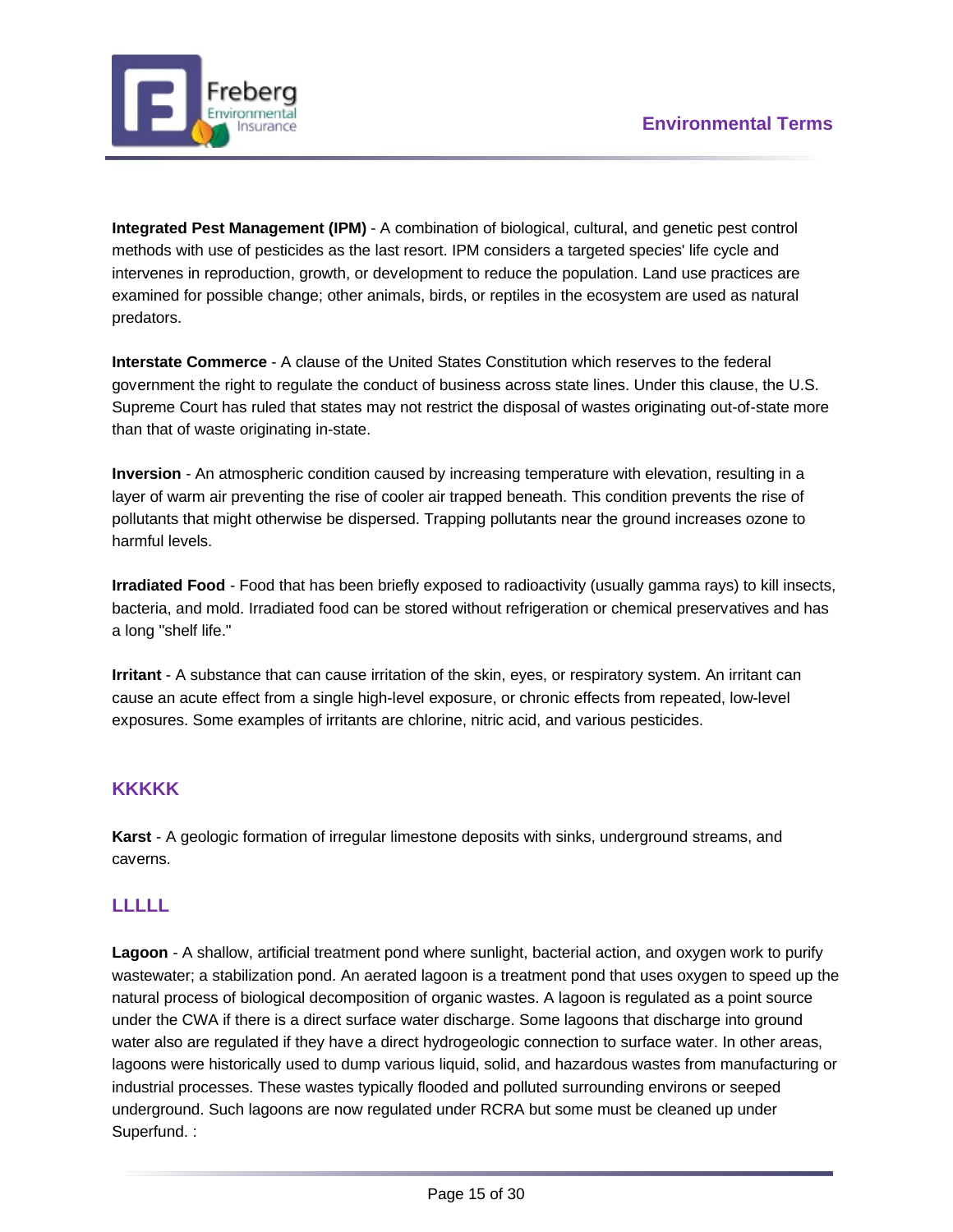

**Integrated Pest Management (IPM)** - A combination of biological, cultural, and genetic pest control methods with use of pesticides as the last resort. IPM considers a targeted species' life cycle and intervenes in reproduction, growth, or development to reduce the population. Land use practices are examined for possible change; other animals, birds, or reptiles in the ecosystem are used as natural predators.

**Interstate Commerce** - A clause of the United States Constitution which reserves to the federal government the right to regulate the conduct of business across state lines. Under this clause, the U.S. Supreme Court has ruled that states may not restrict the disposal of wastes originating out-of-state more than that of waste originating in-state.

**Inversion** - An atmospheric condition caused by increasing temperature with elevation, resulting in a layer of warm air preventing the rise of cooler air trapped beneath. This condition prevents the rise of pollutants that might otherwise be dispersed. Trapping pollutants near the ground increases ozone to harmful levels.

**Irradiated Food** - Food that has been briefly exposed to radioactivity (usually gamma rays) to kill insects, bacteria, and mold. Irradiated food can be stored without refrigeration or chemical preservatives and has a long "shelf life."

**Irritant** - A substance that can cause irritation of the skin, eyes, or respiratory system. An irritant can cause an acute effect from a single high-level exposure, or chronic effects from repeated, low-level exposures. Some examples of irritants are chlorine, nitric acid, and various pesticides.

### **KKKKK**

**Karst** - A geologic formation of irregular limestone deposits with sinks, underground streams, and caverns.

### **LLLLL**

**Lagoon** - A shallow, artificial treatment pond where sunlight, bacterial action, and oxygen work to purify wastewater; a stabilization pond. An aerated lagoon is a treatment pond that uses oxygen to speed up the natural process of biological decomposition of organic wastes. A lagoon is regulated as a point source under the CWA if there is a direct surface water discharge. Some lagoons that discharge into ground water also are regulated if they have a direct hydrogeologic connection to surface water. In other areas, lagoons were historically used to dump various liquid, solid, and hazardous wastes from manufacturing or industrial processes. These wastes typically flooded and polluted surrounding environs or seeped underground. Such lagoons are now regulated under RCRA but some must be cleaned up under Superfund. :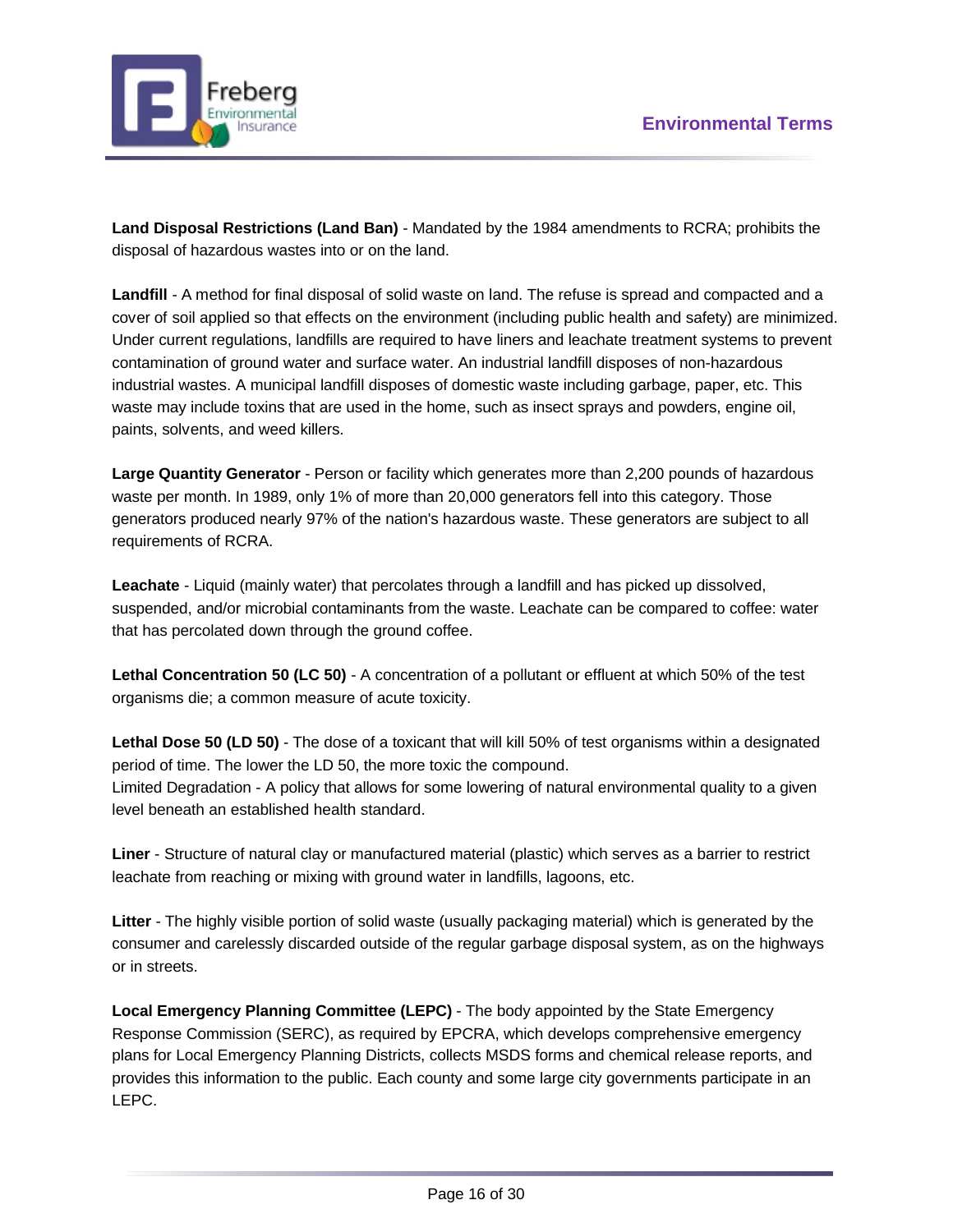

**Land Disposal Restrictions (Land Ban)** - Mandated by the 1984 amendments to RCRA; prohibits the disposal of hazardous wastes into or on the land.

**Landfill** - A method for final disposal of solid waste on land. The refuse is spread and compacted and a cover of soil applied so that effects on the environment (including public health and safety) are minimized. Under current regulations, landfills are required to have liners and leachate treatment systems to prevent contamination of ground water and surface water. An industrial landfill disposes of non-hazardous industrial wastes. A municipal landfill disposes of domestic waste including garbage, paper, etc. This waste may include toxins that are used in the home, such as insect sprays and powders, engine oil, paints, solvents, and weed killers.

**Large Quantity Generator** - Person or facility which generates more than 2,200 pounds of hazardous waste per month. In 1989, only 1% of more than 20,000 generators fell into this category. Those generators produced nearly 97% of the nation's hazardous waste. These generators are subject to all requirements of RCRA.

**Leachate** - Liquid (mainly water) that percolates through a landfill and has picked up dissolved, suspended, and/or microbial contaminants from the waste. Leachate can be compared to coffee: water that has percolated down through the ground coffee.

**Lethal Concentration 50 (LC 50)** - A concentration of a pollutant or effluent at which 50% of the test organisms die; a common measure of acute toxicity.

**Lethal Dose 50 (LD 50)** - The dose of a toxicant that will kill 50% of test organisms within a designated period of time. The lower the LD 50, the more toxic the compound. Limited Degradation - A policy that allows for some lowering of natural environmental quality to a given level beneath an established health standard.

**Liner** - Structure of natural clay or manufactured material (plastic) which serves as a barrier to restrict leachate from reaching or mixing with ground water in landfills, lagoons, etc.

**Litter** - The highly visible portion of solid waste (usually packaging material) which is generated by the consumer and carelessly discarded outside of the regular garbage disposal system, as on the highways or in streets.

**Local Emergency Planning Committee (LEPC)** - The body appointed by the State Emergency Response Commission (SERC), as required by EPCRA, which develops comprehensive emergency plans for Local Emergency Planning Districts, collects MSDS forms and chemical release reports, and provides this information to the public. Each county and some large city governments participate in an LEPC.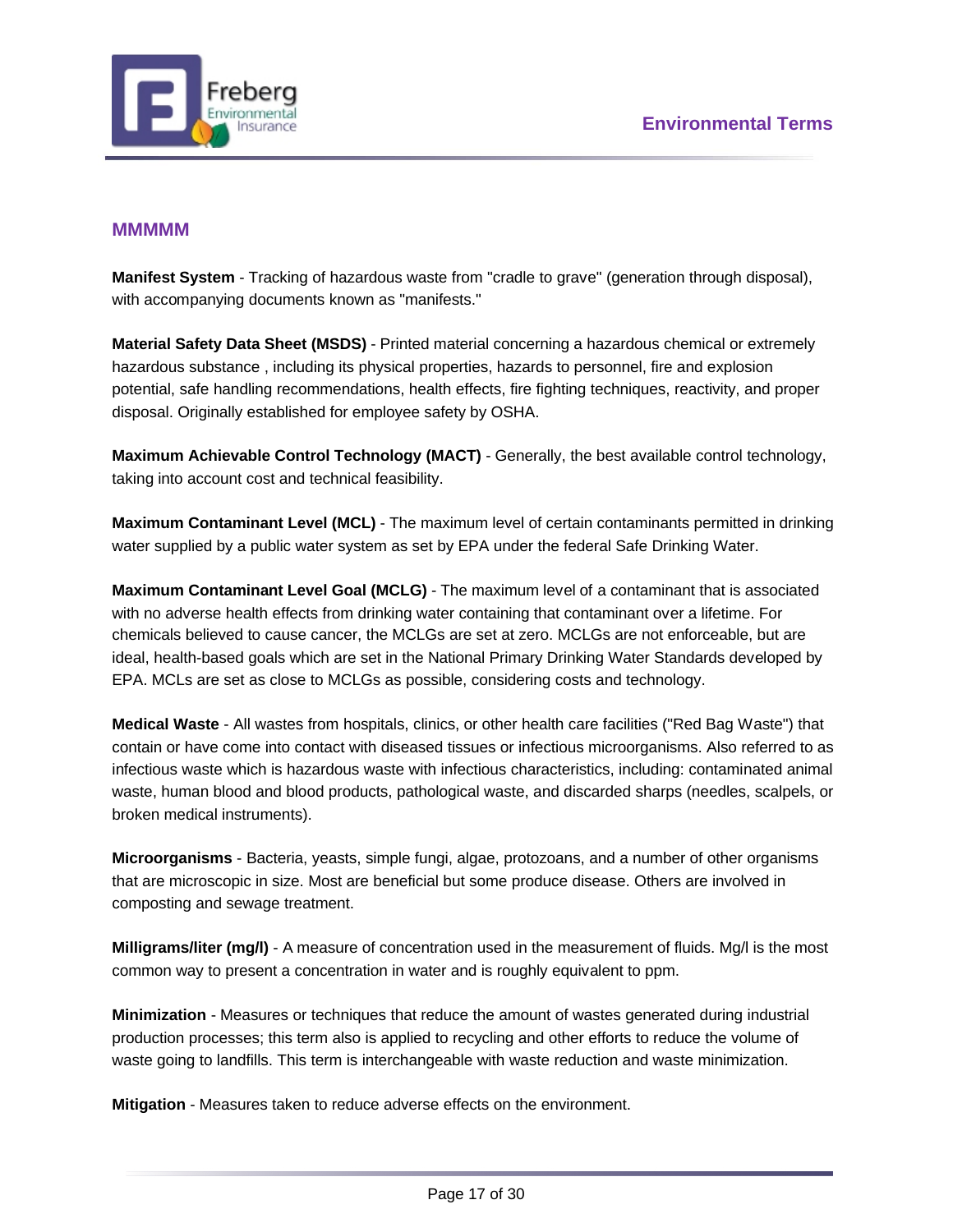

#### **MMMMM**

**Manifest System** - Tracking of hazardous waste from "cradle to grave" (generation through disposal), with accompanying documents known as "manifests."

**Material Safety Data Sheet (MSDS)** - Printed material concerning a hazardous chemical or extremely hazardous substance , including its physical properties, hazards to personnel, fire and explosion potential, safe handling recommendations, health effects, fire fighting techniques, reactivity, and proper disposal. Originally established for employee safety by OSHA.

**Maximum Achievable Control Technology (MACT)** - Generally, the best available control technology, taking into account cost and technical feasibility.

**Maximum Contaminant Level (MCL)** - The maximum level of certain contaminants permitted in drinking water supplied by a public water system as set by EPA under the federal Safe Drinking Water.

**Maximum Contaminant Level Goal (MCLG)** - The maximum level of a contaminant that is associated with no adverse health effects from drinking water containing that contaminant over a lifetime. For chemicals believed to cause cancer, the MCLGs are set at zero. MCLGs are not enforceable, but are ideal, health-based goals which are set in the National Primary Drinking Water Standards developed by EPA. MCLs are set as close to MCLGs as possible, considering costs and technology.

**Medical Waste** - All wastes from hospitals, clinics, or other health care facilities ("Red Bag Waste") that contain or have come into contact with diseased tissues or infectious microorganisms. Also referred to as infectious waste which is hazardous waste with infectious characteristics, including: contaminated animal waste, human blood and blood products, pathological waste, and discarded sharps (needles, scalpels, or broken medical instruments).

**Microorganisms** - Bacteria, yeasts, simple fungi, algae, protozoans, and a number of other organisms that are microscopic in size. Most are beneficial but some produce disease. Others are involved in composting and sewage treatment.

**Milligrams/liter (mg/l)** - A measure of concentration used in the measurement of fluids. Mg/l is the most common way to present a concentration in water and is roughly equivalent to ppm.

**Minimization** - Measures or techniques that reduce the amount of wastes generated during industrial production processes; this term also is applied to recycling and other efforts to reduce the volume of waste going to landfills. This term is interchangeable with waste reduction and waste minimization.

**Mitigation** - Measures taken to reduce adverse effects on the environment.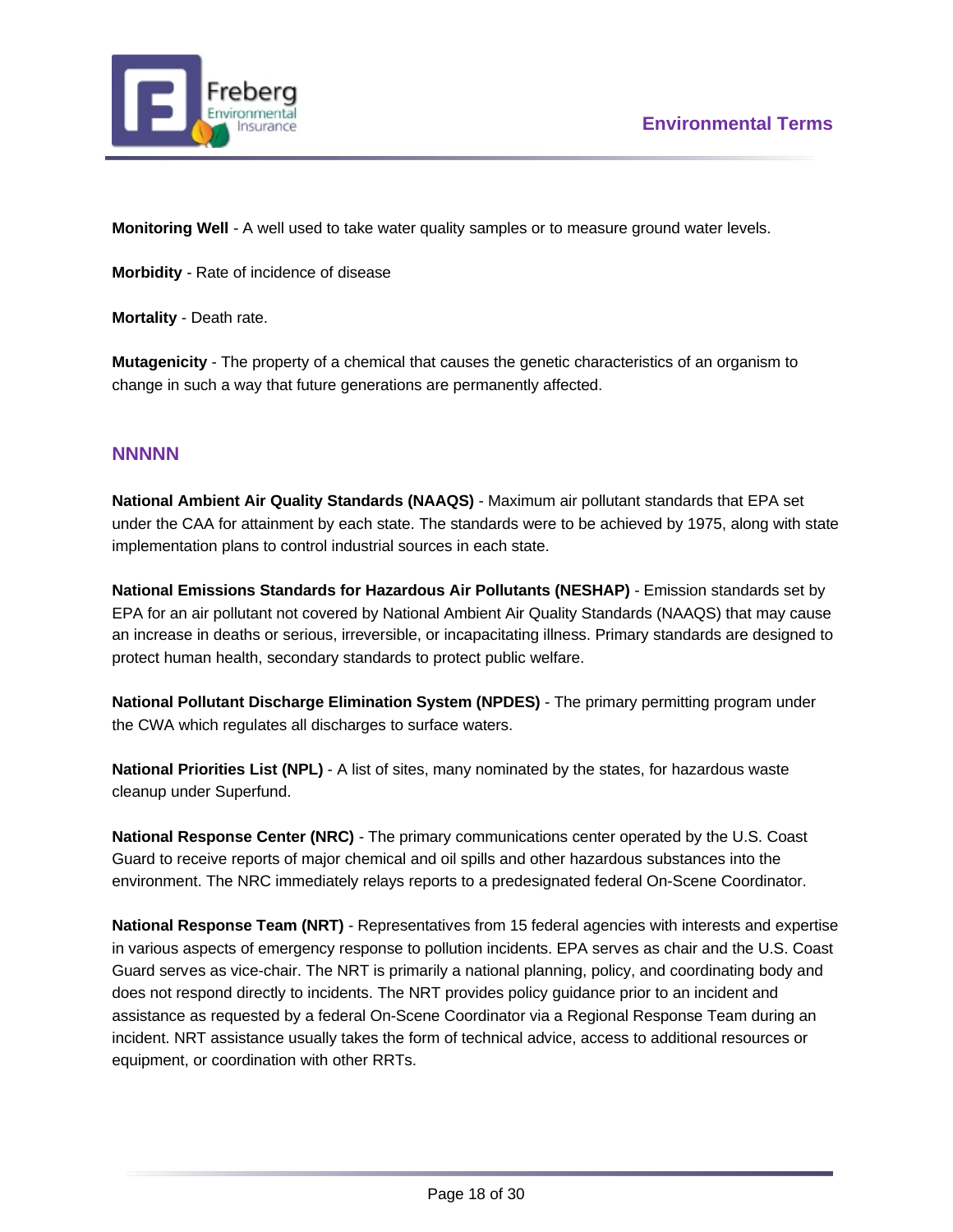**Monitoring Well** - A well used to take water quality samples or to measure ground water levels.

**Morbidity** - Rate of incidence of disease

**Mortality** - Death rate.

**Mutagenicity** - The property of a chemical that causes the genetic characteristics of an organism to change in such a way that future generations are permanently affected.

#### **NNNNN**

**National Ambient Air Quality Standards (NAAQS)** - Maximum air pollutant standards that EPA set under the CAA for attainment by each state. The standards were to be achieved by 1975, along with state implementation plans to control industrial sources in each state.

**National Emissions Standards for Hazardous Air Pollutants (NESHAP)** - Emission standards set by EPA for an air pollutant not covered by National Ambient Air Quality Standards (NAAQS) that may cause an increase in deaths or serious, irreversible, or incapacitating illness. Primary standards are designed to protect human health, secondary standards to protect public welfare.

**National Pollutant Discharge Elimination System (NPDES)** - The primary permitting program under the CWA which regulates all discharges to surface waters.

**National Priorities List (NPL)** - A list of sites, many nominated by the states, for hazardous waste cleanup under Superfund.

**National Response Center (NRC)** - The primary communications center operated by the U.S. Coast Guard to receive reports of major chemical and oil spills and other hazardous substances into the environment. The NRC immediately relays reports to a predesignated federal On-Scene Coordinator.

**National Response Team (NRT)** - Representatives from 15 federal agencies with interests and expertise in various aspects of emergency response to pollution incidents. EPA serves as chair and the U.S. Coast Guard serves as vice-chair. The NRT is primarily a national planning, policy, and coordinating body and does not respond directly to incidents. The NRT provides policy guidance prior to an incident and assistance as requested by a federal On-Scene Coordinator via a Regional Response Team during an incident. NRT assistance usually takes the form of technical advice, access to additional resources or equipment, or coordination with other RRTs.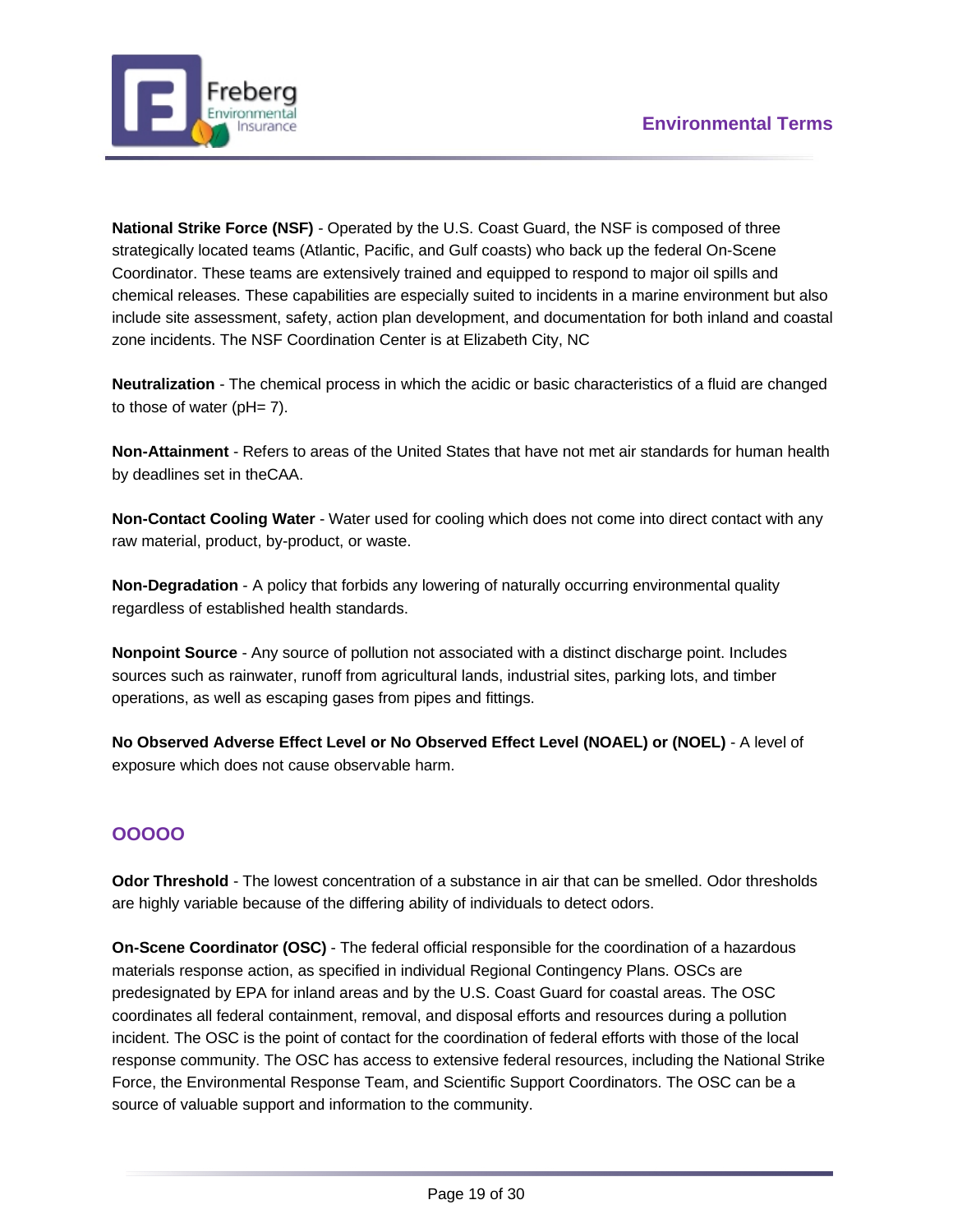

**National Strike Force (NSF)** - Operated by the U.S. Coast Guard, the NSF is composed of three strategically located teams (Atlantic, Pacific, and Gulf coasts) who back up the federal On-Scene Coordinator. These teams are extensively trained and equipped to respond to major oil spills and chemical releases. These capabilities are especially suited to incidents in a marine environment but also include site assessment, safety, action plan development, and documentation for both inland and coastal zone incidents. The NSF Coordination Center is at Elizabeth City, NC

**Neutralization** - The chemical process in which the acidic or basic characteristics of a fluid are changed to those of water (pH= 7).

**Non-Attainment** - Refers to areas of the United States that have not met air standards for human health by deadlines set in theCAA.

**Non-Contact Cooling Water** - Water used for cooling which does not come into direct contact with any raw material, product, by-product, or waste.

**Non-Degradation** - A policy that forbids any lowering of naturally occurring environmental quality regardless of established health standards.

**Nonpoint Source** - Any source of pollution not associated with a distinct discharge point. Includes sources such as rainwater, runoff from agricultural lands, industrial sites, parking lots, and timber operations, as well as escaping gases from pipes and fittings.

**No Observed Adverse Effect Level or No Observed Effect Level (NOAEL) or (NOEL)** - A level of exposure which does not cause observable harm.

## **OOOOO**

**Odor Threshold** - The lowest concentration of a substance in air that can be smelled. Odor thresholds are highly variable because of the differing ability of individuals to detect odors.

**On-Scene Coordinator (OSC)** - The federal official responsible for the coordination of a hazardous materials response action, as specified in individual Regional Contingency Plans. OSCs are predesignated by EPA for inland areas and by the U.S. Coast Guard for coastal areas. The OSC coordinates all federal containment, removal, and disposal efforts and resources during a pollution incident. The OSC is the point of contact for the coordination of federal efforts with those of the local response community. The OSC has access to extensive federal resources, including the National Strike Force, the Environmental Response Team, and Scientific Support Coordinators. The OSC can be a source of valuable support and information to the community.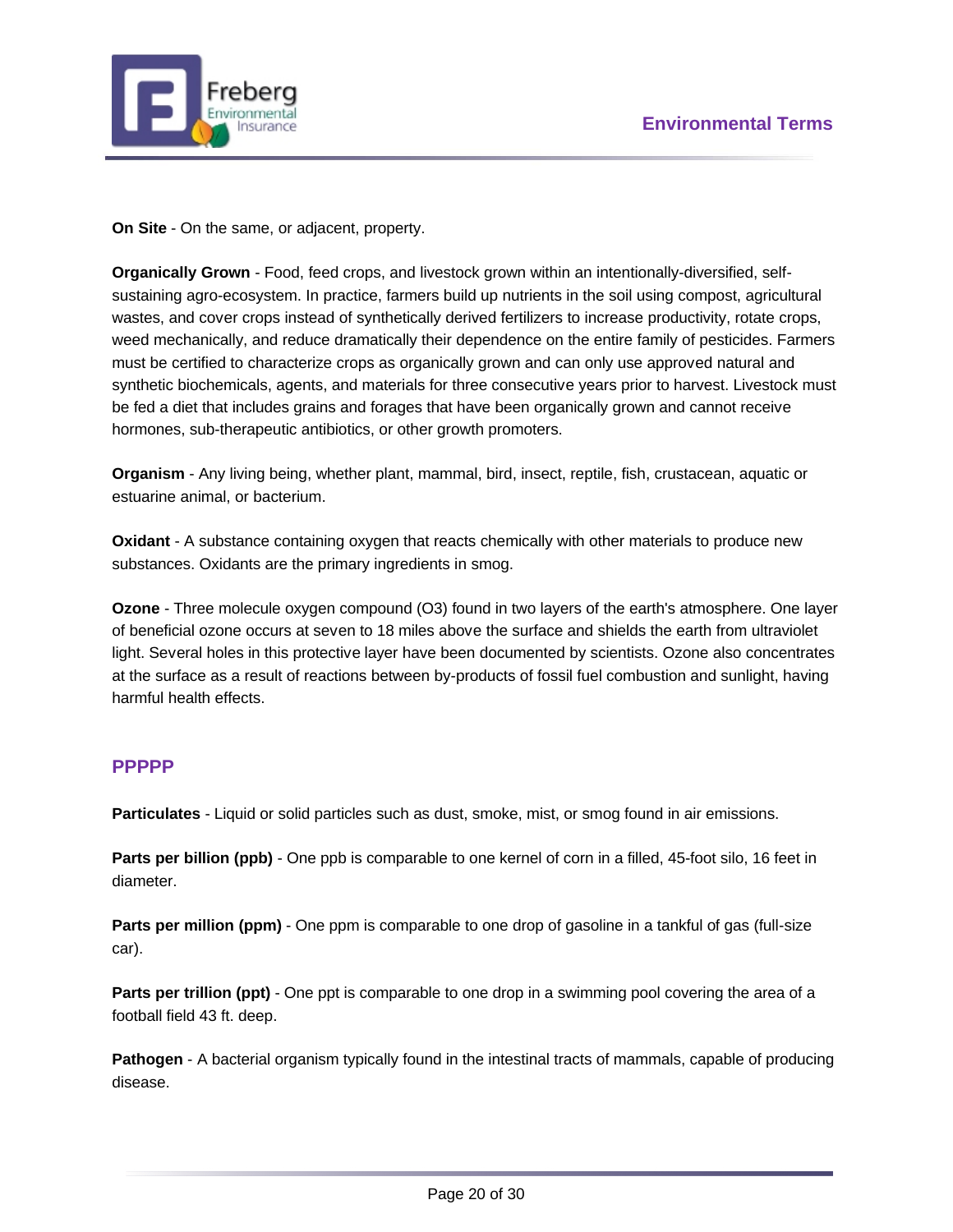

**On Site** - On the same, or adjacent, property.

**Organically Grown** - Food, feed crops, and livestock grown within an intentionally-diversified, selfsustaining agro-ecosystem. In practice, farmers build up nutrients in the soil using compost, agricultural wastes, and cover crops instead of synthetically derived fertilizers to increase productivity, rotate crops, weed mechanically, and reduce dramatically their dependence on the entire family of pesticides. Farmers must be certified to characterize crops as organically grown and can only use approved natural and synthetic biochemicals, agents, and materials for three consecutive years prior to harvest. Livestock must be fed a diet that includes grains and forages that have been organically grown and cannot receive hormones, sub-therapeutic antibiotics, or other growth promoters.

**Organism** - Any living being, whether plant, mammal, bird, insect, reptile, fish, crustacean, aquatic or estuarine animal, or bacterium.

**Oxidant** - A substance containing oxygen that reacts chemically with other materials to produce new substances. Oxidants are the primary ingredients in smog.

**Ozone** - Three molecule oxygen compound (O3) found in two layers of the earth's atmosphere. One layer of beneficial ozone occurs at seven to 18 miles above the surface and shields the earth from ultraviolet light. Several holes in this protective layer have been documented by scientists. Ozone also concentrates at the surface as a result of reactions between by-products of fossil fuel combustion and sunlight, having harmful health effects.

#### **PPPPP**

**Particulates** - Liquid or solid particles such as dust, smoke, mist, or smog found in air emissions.

**Parts per billion (ppb)** - One ppb is comparable to one kernel of corn in a filled, 45-foot silo, 16 feet in diameter.

**Parts per million (ppm)** - One ppm is comparable to one drop of gasoline in a tankful of gas (full-size car).

**Parts per trillion (ppt)** - One ppt is comparable to one drop in a swimming pool covering the area of a football field 43 ft. deep.

**Pathogen** - A bacterial organism typically found in the intestinal tracts of mammals, capable of producing disease.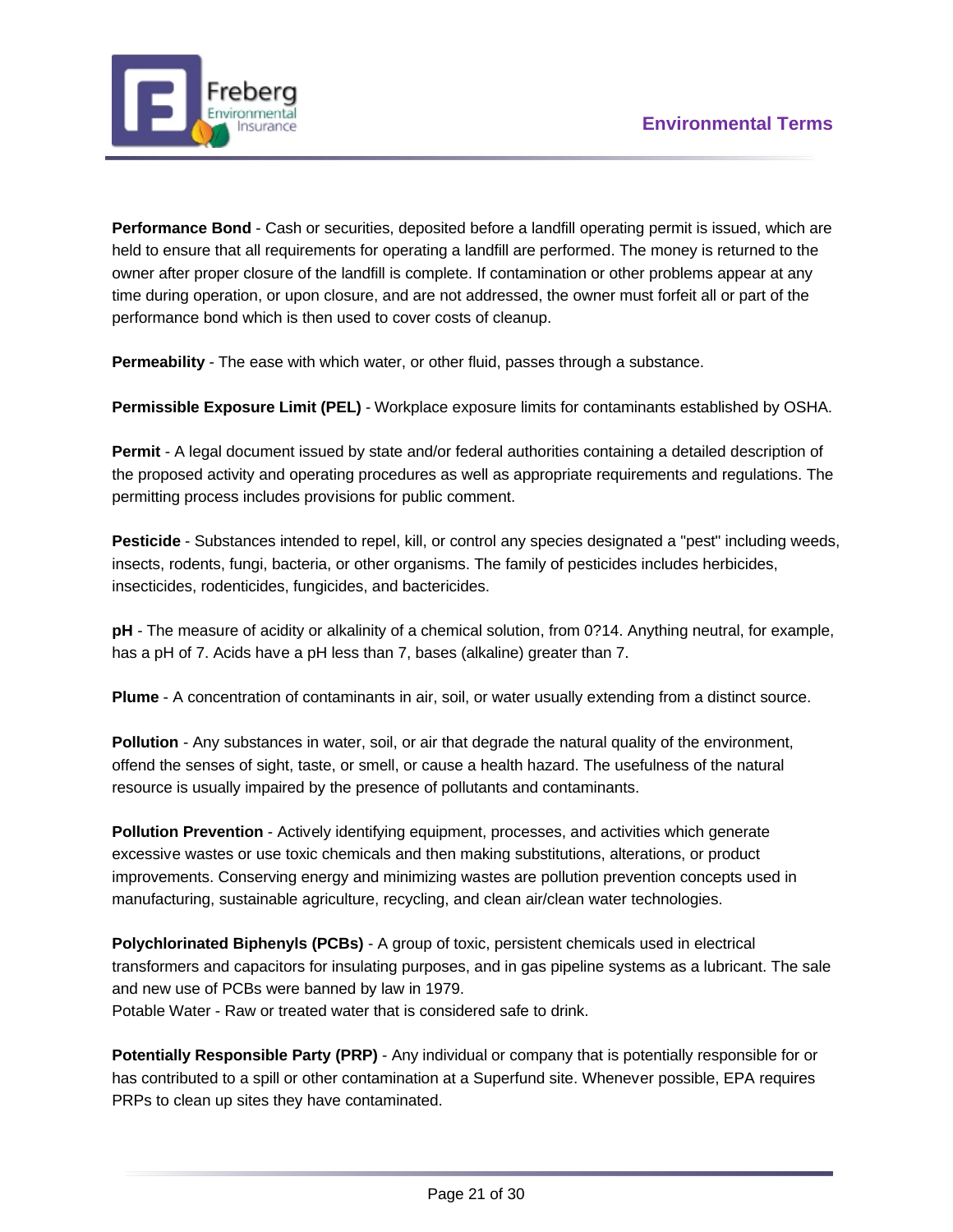

**Performance Bond** - Cash or securities, deposited before a landfill operating permit is issued, which are held to ensure that all requirements for operating a landfill are performed. The money is returned to the owner after proper closure of the landfill is complete. If contamination or other problems appear at any time during operation, or upon closure, and are not addressed, the owner must forfeit all or part of the performance bond which is then used to cover costs of cleanup.

**Permeability** - The ease with which water, or other fluid, passes through a substance.

**Permissible Exposure Limit (PEL)** - Workplace exposure limits for contaminants established by OSHA.

**Permit** - A legal document issued by state and/or federal authorities containing a detailed description of the proposed activity and operating procedures as well as appropriate requirements and regulations. The permitting process includes provisions for public comment.

**Pesticide** - Substances intended to repel, kill, or control any species designated a "pest" including weeds, insects, rodents, fungi, bacteria, or other organisms. The family of pesticides includes herbicides, insecticides, rodenticides, fungicides, and bactericides.

**pH** - The measure of acidity or alkalinity of a chemical solution, from 0?14. Anything neutral, for example, has a pH of 7. Acids have a pH less than 7, bases (alkaline) greater than 7.

**Plume** - A concentration of contaminants in air, soil, or water usually extending from a distinct source.

**Pollution** - Any substances in water, soil, or air that degrade the natural quality of the environment, offend the senses of sight, taste, or smell, or cause a health hazard. The usefulness of the natural resource is usually impaired by the presence of pollutants and contaminants.

**Pollution Prevention** - Actively identifying equipment, processes, and activities which generate excessive wastes or use toxic chemicals and then making substitutions, alterations, or product improvements. Conserving energy and minimizing wastes are pollution prevention concepts used in manufacturing, sustainable agriculture, recycling, and clean air/clean water technologies.

**Polychlorinated Biphenyls (PCBs)** - A group of toxic, persistent chemicals used in electrical transformers and capacitors for insulating purposes, and in gas pipeline systems as a lubricant. The sale and new use of PCBs were banned by law in 1979.

Potable Water - Raw or treated water that is considered safe to drink.

**Potentially Responsible Party (PRP)** - Any individual or company that is potentially responsible for or has contributed to a spill or other contamination at a Superfund site. Whenever possible, EPA requires PRPs to clean up sites they have contaminated.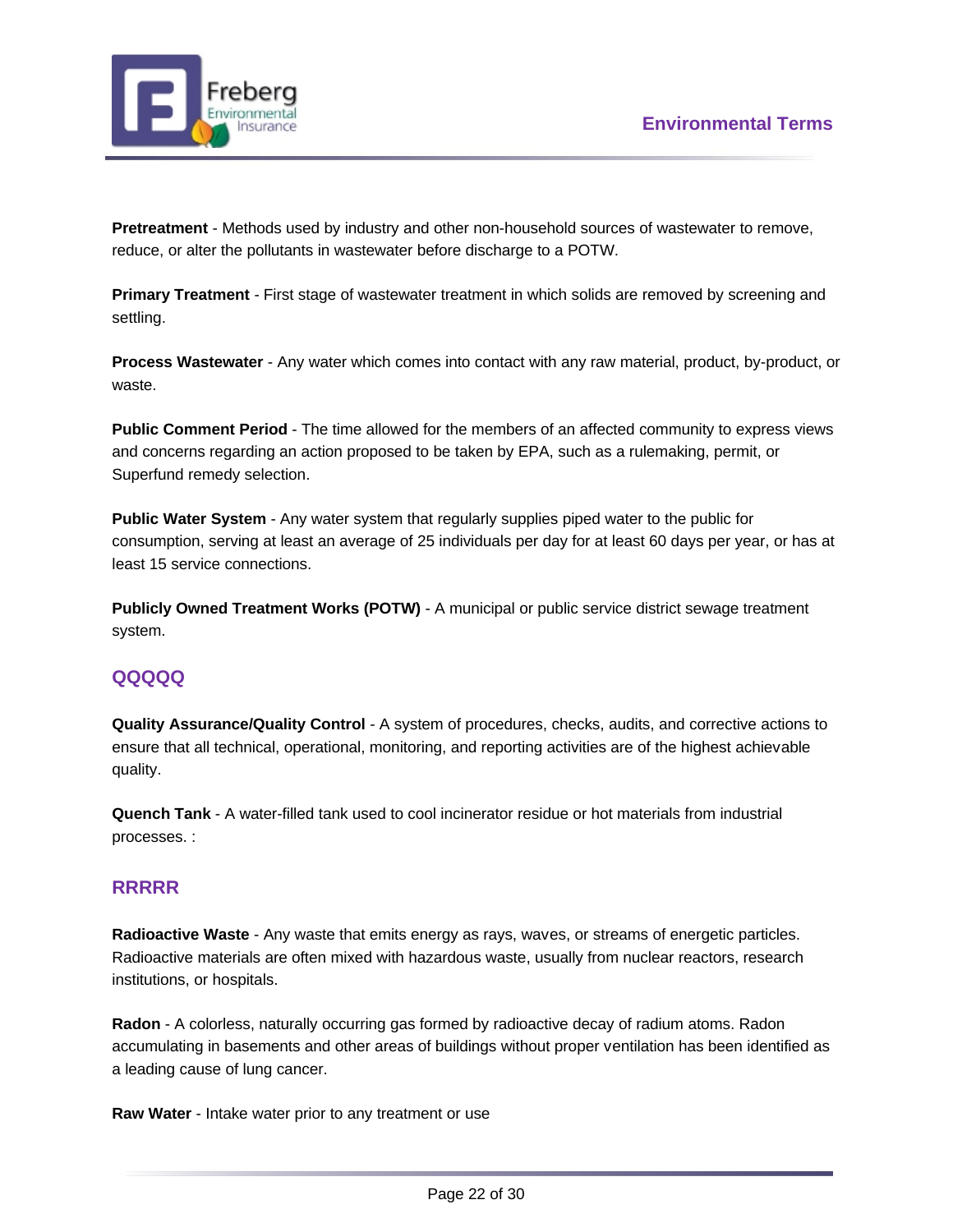

**Pretreatment** - Methods used by industry and other non-household sources of wastewater to remove, reduce, or alter the pollutants in wastewater before discharge to a POTW.

**Primary Treatment** - First stage of wastewater treatment in which solids are removed by screening and settling.

**Process Wastewater** - Any water which comes into contact with any raw material, product, by-product, or waste.

**Public Comment Period** - The time allowed for the members of an affected community to express views and concerns regarding an action proposed to be taken by EPA, such as a rulemaking, permit, or Superfund remedy selection.

**Public Water System** - Any water system that regularly supplies piped water to the public for consumption, serving at least an average of 25 individuals per day for at least 60 days per year, or has at least 15 service connections.

**Publicly Owned Treatment Works (POTW)** - A municipal or public service district sewage treatment system.

## **QQQQQ**

**Quality Assurance/Quality Control** - A system of procedures, checks, audits, and corrective actions to ensure that all technical, operational, monitoring, and reporting activities are of the highest achievable quality.

**Quench Tank** - A water-filled tank used to cool incinerator residue or hot materials from industrial processes. :

### **RRRRR**

**Radioactive Waste** - Any waste that emits energy as rays, waves, or streams of energetic particles. Radioactive materials are often mixed with hazardous waste, usually from nuclear reactors, research institutions, or hospitals.

**Radon** - A colorless, naturally occurring gas formed by radioactive decay of radium atoms. Radon accumulating in basements and other areas of buildings without proper ventilation has been identified as a leading cause of lung cancer.

**Raw Water** - Intake water prior to any treatment or use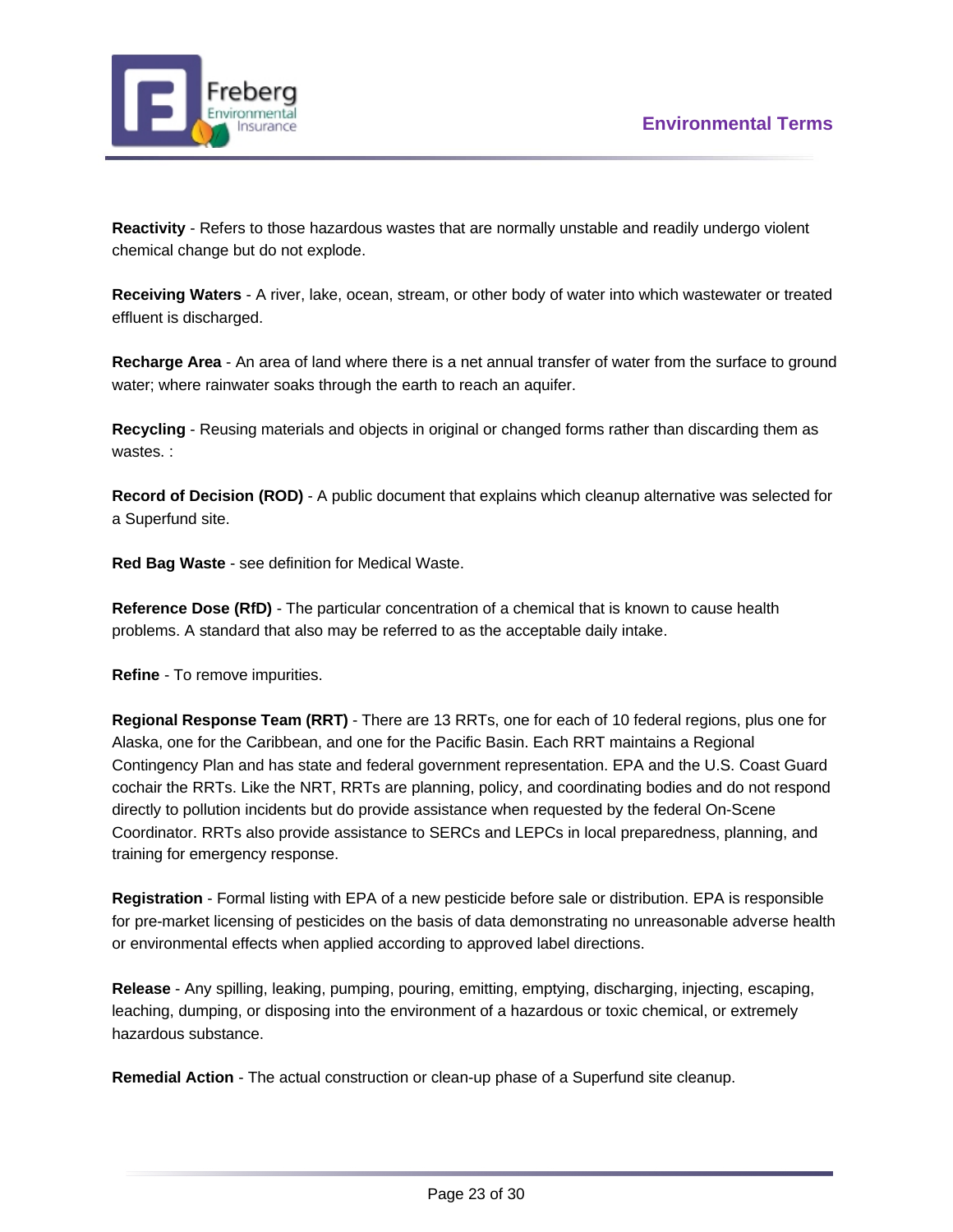

**Reactivity** - Refers to those hazardous wastes that are normally unstable and readily undergo violent chemical change but do not explode.

**Receiving Waters** - A river, lake, ocean, stream, or other body of water into which wastewater or treated effluent is discharged.

**Recharge Area** - An area of land where there is a net annual transfer of water from the surface to ground water; where rainwater soaks through the earth to reach an aquifer.

**Recycling** - Reusing materials and objects in original or changed forms rather than discarding them as wastes. :

**Record of Decision (ROD)** - A public document that explains which cleanup alternative was selected for a Superfund site.

**Red Bag Waste** - see definition for Medical Waste.

**Reference Dose (RfD)** - The particular concentration of a chemical that is known to cause health problems. A standard that also may be referred to as the acceptable daily intake.

**Refine** - To remove impurities.

**Regional Response Team (RRT)** - There are 13 RRTs, one for each of 10 federal regions, plus one for Alaska, one for the Caribbean, and one for the Pacific Basin. Each RRT maintains a Regional Contingency Plan and has state and federal government representation. EPA and the U.S. Coast Guard cochair the RRTs. Like the NRT, RRTs are planning, policy, and coordinating bodies and do not respond directly to pollution incidents but do provide assistance when requested by the federal On-Scene Coordinator. RRTs also provide assistance to SERCs and LEPCs in local preparedness, planning, and training for emergency response.

**Registration** - Formal listing with EPA of a new pesticide before sale or distribution. EPA is responsible for pre-market licensing of pesticides on the basis of data demonstrating no unreasonable adverse health or environmental effects when applied according to approved label directions.

**Release** - Any spilling, leaking, pumping, pouring, emitting, emptying, discharging, injecting, escaping, leaching, dumping, or disposing into the environment of a hazardous or toxic chemical, or extremely hazardous substance.

**Remedial Action** - The actual construction or clean-up phase of a Superfund site cleanup.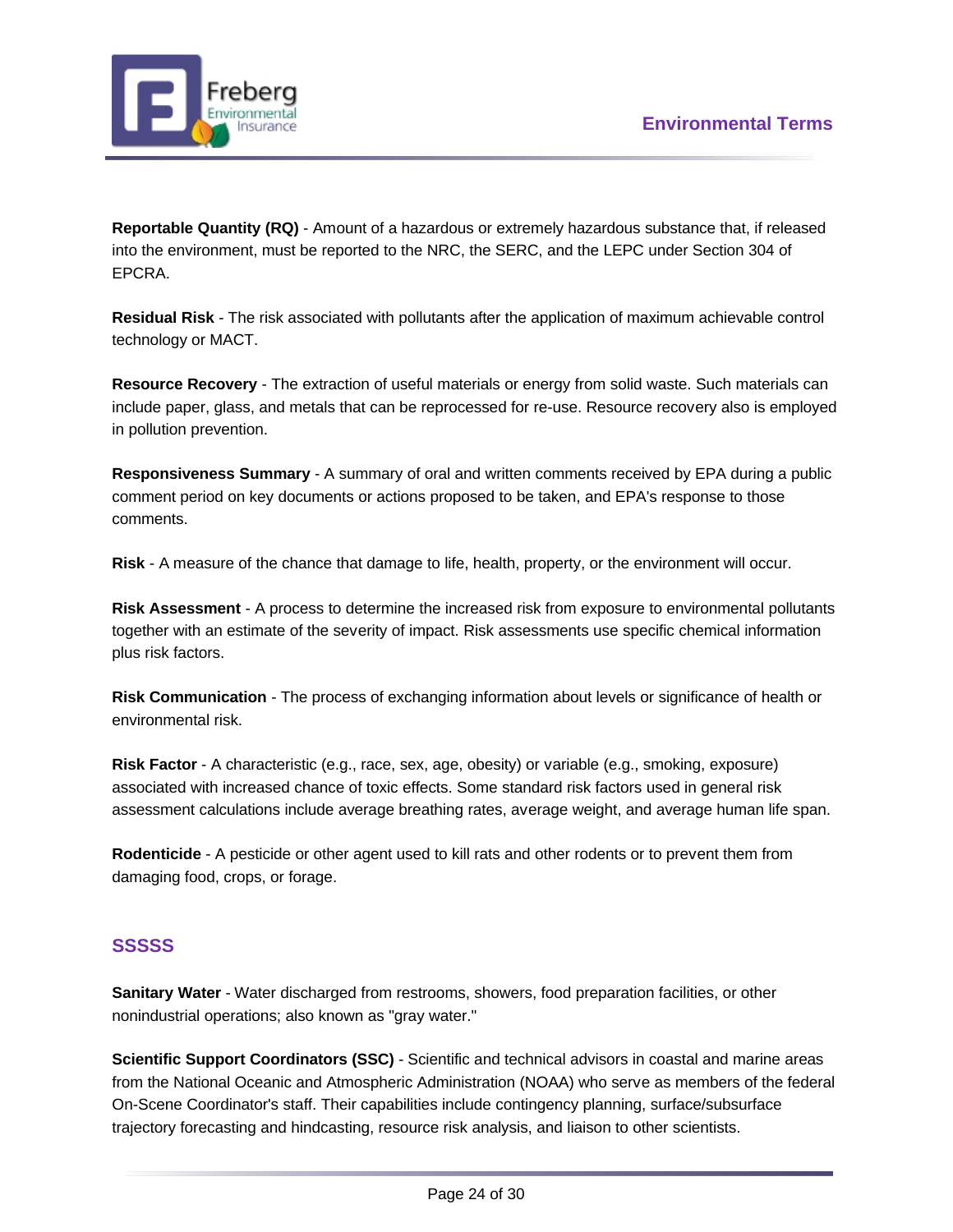

**Reportable Quantity (RQ)** - Amount of a hazardous or extremely hazardous substance that, if released into the environment, must be reported to the NRC, the SERC, and the LEPC under Section 304 of EPCRA.

**Residual Risk** - The risk associated with pollutants after the application of maximum achievable control technology or MACT.

**Resource Recovery** - The extraction of useful materials or energy from solid waste. Such materials can include paper, glass, and metals that can be reprocessed for re-use. Resource recovery also is employed in pollution prevention.

**Responsiveness Summary** - A summary of oral and written comments received by EPA during a public comment period on key documents or actions proposed to be taken, and EPA's response to those comments.

**Risk** - A measure of the chance that damage to life, health, property, or the environment will occur.

**Risk Assessment** - A process to determine the increased risk from exposure to environmental pollutants together with an estimate of the severity of impact. Risk assessments use specific chemical information plus risk factors.

**Risk Communication** - The process of exchanging information about levels or significance of health or environmental risk.

**Risk Factor** - A characteristic (e.g., race, sex, age, obesity) or variable (e.g., smoking, exposure) associated with increased chance of toxic effects. Some standard risk factors used in general risk assessment calculations include average breathing rates, average weight, and average human life span.

**Rodenticide** - A pesticide or other agent used to kill rats and other rodents or to prevent them from damaging food, crops, or forage.

## **SSSSS**

**Sanitary Water** - Water discharged from restrooms, showers, food preparation facilities, or other nonindustrial operations; also known as "gray water."

**Scientific Support Coordinators (SSC)** - Scientific and technical advisors in coastal and marine areas from the National Oceanic and Atmospheric Administration (NOAA) who serve as members of the federal On-Scene Coordinator's staff. Their capabilities include contingency planning, surface/subsurface trajectory forecasting and hindcasting, resource risk analysis, and liaison to other scientists.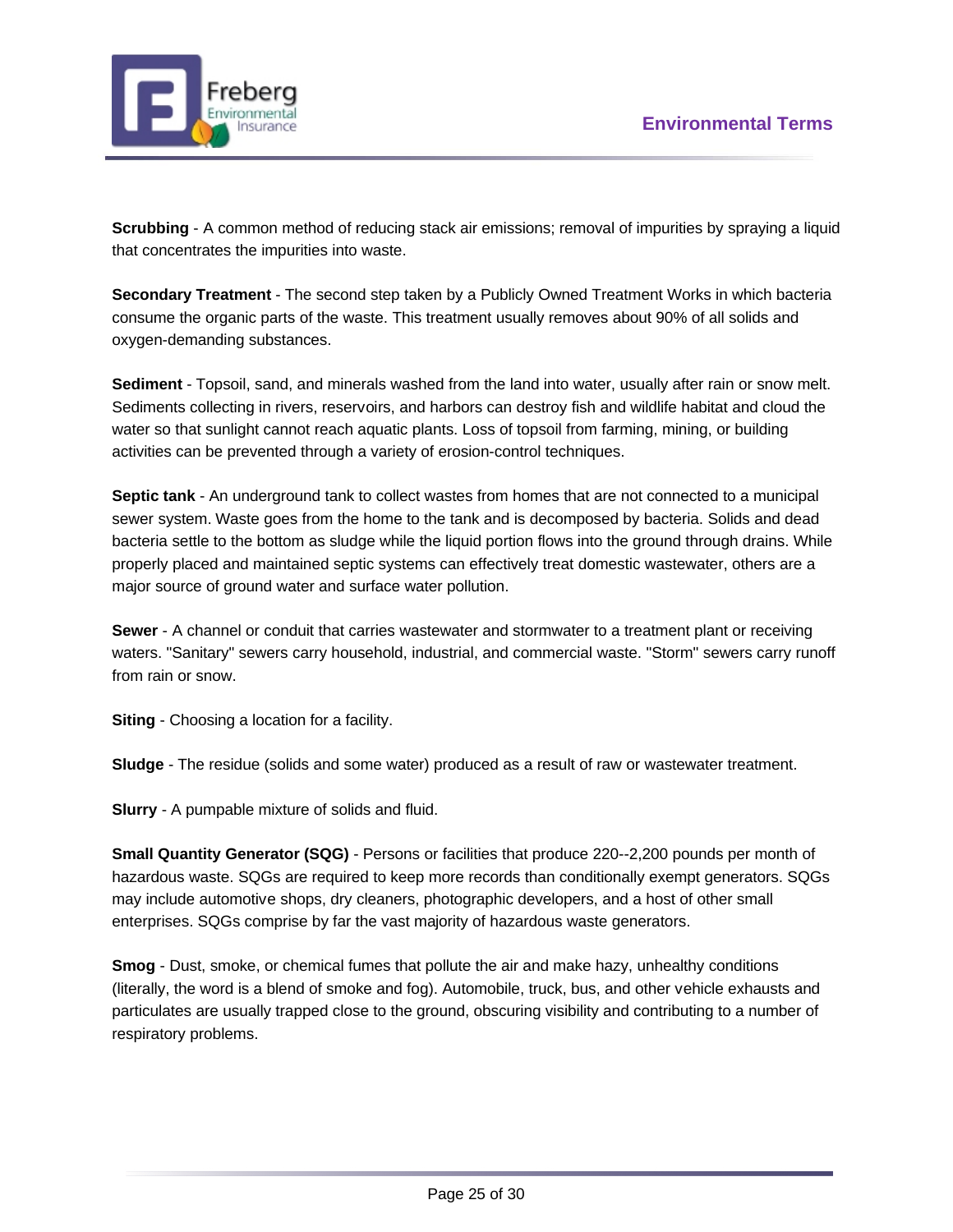

**Scrubbing** - A common method of reducing stack air emissions; removal of impurities by spraying a liquid that concentrates the impurities into waste.

**Secondary Treatment** - The second step taken by a Publicly Owned Treatment Works in which bacteria consume the organic parts of the waste. This treatment usually removes about 90% of all solids and oxygen-demanding substances.

**Sediment** - Topsoil, sand, and minerals washed from the land into water, usually after rain or snow melt. Sediments collecting in rivers, reservoirs, and harbors can destroy fish and wildlife habitat and cloud the water so that sunlight cannot reach aquatic plants. Loss of topsoil from farming, mining, or building activities can be prevented through a variety of erosion-control techniques.

**Septic tank** - An underground tank to collect wastes from homes that are not connected to a municipal sewer system. Waste goes from the home to the tank and is decomposed by bacteria. Solids and dead bacteria settle to the bottom as sludge while the liquid portion flows into the ground through drains. While properly placed and maintained septic systems can effectively treat domestic wastewater, others are a major source of ground water and surface water pollution.

**Sewer** - A channel or conduit that carries wastewater and stormwater to a treatment plant or receiving waters. "Sanitary" sewers carry household, industrial, and commercial waste. "Storm" sewers carry runoff from rain or snow.

**Siting** - Choosing a location for a facility.

**Sludge** - The residue (solids and some water) produced as a result of raw or wastewater treatment.

**Slurry** - A pumpable mixture of solids and fluid.

**Small Quantity Generator (SQG)** - Persons or facilities that produce 220--2,200 pounds per month of hazardous waste. SQGs are required to keep more records than conditionally exempt generators. SQGs may include automotive shops, dry cleaners, photographic developers, and a host of other small enterprises. SQGs comprise by far the vast majority of hazardous waste generators.

**Smog** - Dust, smoke, or chemical fumes that pollute the air and make hazy, unhealthy conditions (literally, the word is a blend of smoke and fog). Automobile, truck, bus, and other vehicle exhausts and particulates are usually trapped close to the ground, obscuring visibility and contributing to a number of respiratory problems.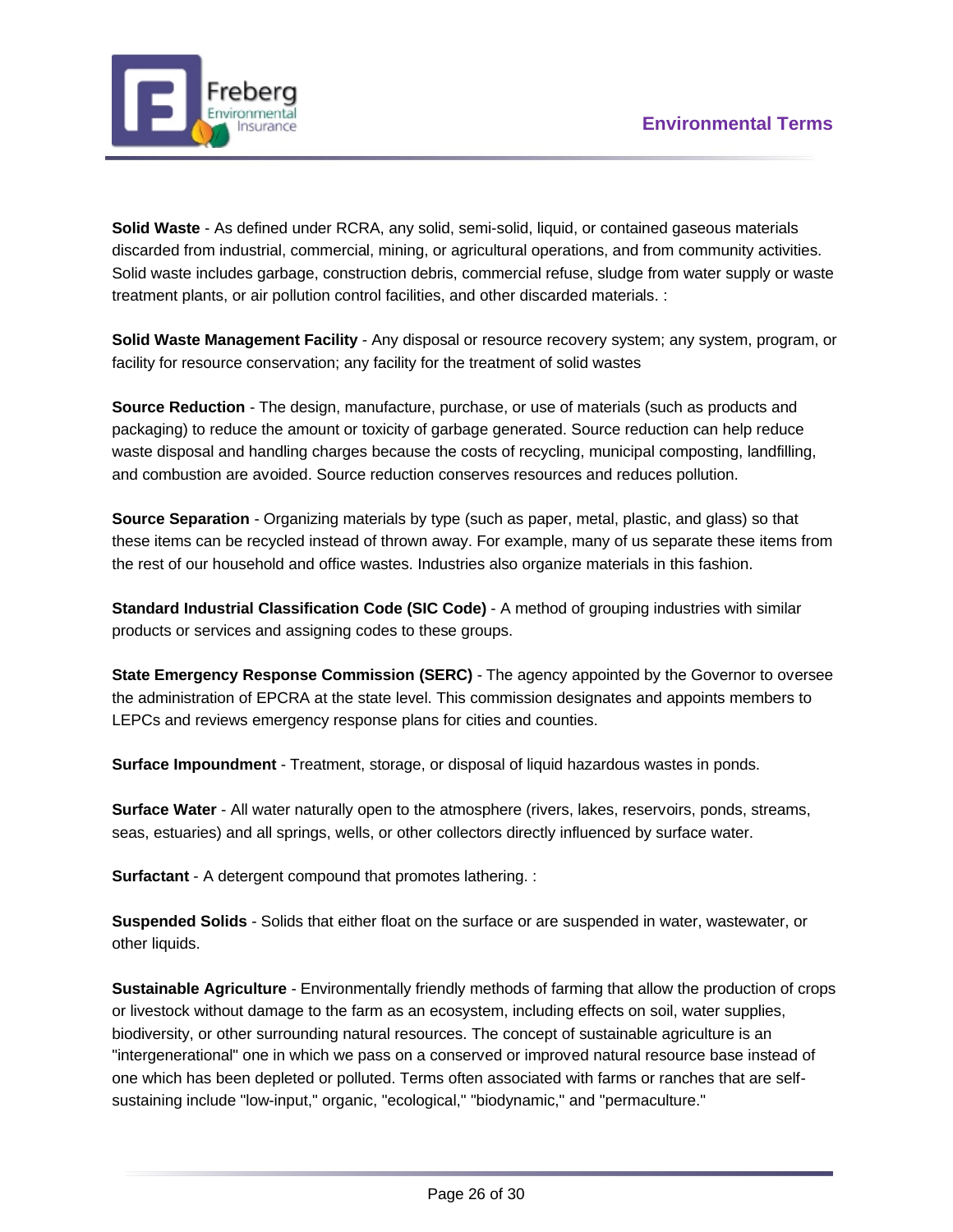

**Solid Waste** - As defined under RCRA, any solid, semi-solid, liquid, or contained gaseous materials discarded from industrial, commercial, mining, or agricultural operations, and from community activities. Solid waste includes garbage, construction debris, commercial refuse, sludge from water supply or waste treatment plants, or air pollution control facilities, and other discarded materials. :

**Solid Waste Management Facility** - Any disposal or resource recovery system; any system, program, or facility for resource conservation; any facility for the treatment of solid wastes

**Source Reduction** - The design, manufacture, purchase, or use of materials (such as products and packaging) to reduce the amount or toxicity of garbage generated. Source reduction can help reduce waste disposal and handling charges because the costs of recycling, municipal composting, landfilling, and combustion are avoided. Source reduction conserves resources and reduces pollution.

**Source Separation** - Organizing materials by type (such as paper, metal, plastic, and glass) so that these items can be recycled instead of thrown away. For example, many of us separate these items from the rest of our household and office wastes. Industries also organize materials in this fashion.

**Standard Industrial Classification Code (SIC Code)** - A method of grouping industries with similar products or services and assigning codes to these groups.

**State Emergency Response Commission (SERC)** - The agency appointed by the Governor to oversee the administration of EPCRA at the state level. This commission designates and appoints members to LEPCs and reviews emergency response plans for cities and counties.

**Surface Impoundment** - Treatment, storage, or disposal of liquid hazardous wastes in ponds.

**Surface Water** - All water naturally open to the atmosphere (rivers, lakes, reservoirs, ponds, streams, seas, estuaries) and all springs, wells, or other collectors directly influenced by surface water.

**Surfactant** - A detergent compound that promotes lathering. :

**Suspended Solids** - Solids that either float on the surface or are suspended in water, wastewater, or other liquids.

**Sustainable Agriculture** - Environmentally friendly methods of farming that allow the production of crops or livestock without damage to the farm as an ecosystem, including effects on soil, water supplies, biodiversity, or other surrounding natural resources. The concept of sustainable agriculture is an "intergenerational" one in which we pass on a conserved or improved natural resource base instead of one which has been depleted or polluted. Terms often associated with farms or ranches that are selfsustaining include "low-input," organic, "ecological," "biodynamic," and "permaculture."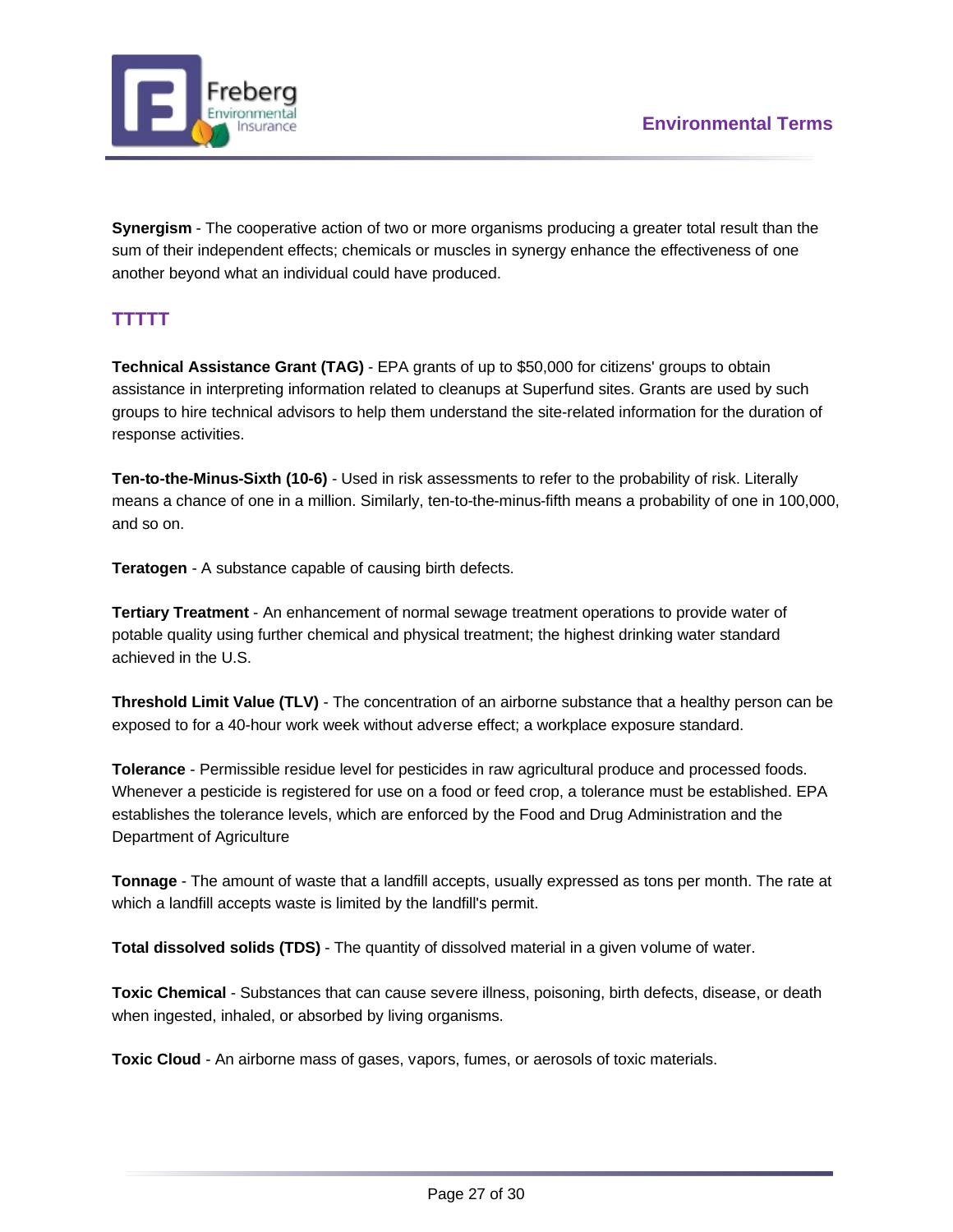

**Synergism** - The cooperative action of two or more organisms producing a greater total result than the sum of their independent effects; chemicals or muscles in synergy enhance the effectiveness of one another beyond what an individual could have produced.

## **TTTTT**

**Technical Assistance Grant (TAG)** - EPA grants of up to \$50,000 for citizens' groups to obtain assistance in interpreting information related to cleanups at Superfund sites. Grants are used by such groups to hire technical advisors to help them understand the site-related information for the duration of response activities.

**Ten-to-the-Minus-Sixth (10-6)** - Used in risk assessments to refer to the probability of risk. Literally means a chance of one in a million. Similarly, ten-to-the-minus-fifth means a probability of one in 100,000, and so on.

**Teratogen** - A substance capable of causing birth defects.

**Tertiary Treatment** - An enhancement of normal sewage treatment operations to provide water of potable quality using further chemical and physical treatment; the highest drinking water standard achieved in the U.S.

**Threshold Limit Value (TLV)** - The concentration of an airborne substance that a healthy person can be exposed to for a 40-hour work week without adverse effect; a workplace exposure standard.

**Tolerance** - Permissible residue level for pesticides in raw agricultural produce and processed foods. Whenever a pesticide is registered for use on a food or feed crop, a tolerance must be established. EPA establishes the tolerance levels, which are enforced by the Food and Drug Administration and the Department of Agriculture

**Tonnage** - The amount of waste that a landfill accepts, usually expressed as tons per month. The rate at which a landfill accepts waste is limited by the landfill's permit.

**Total dissolved solids (TDS)** - The quantity of dissolved material in a given volume of water.

**Toxic Chemical** - Substances that can cause severe illness, poisoning, birth defects, disease, or death when ingested, inhaled, or absorbed by living organisms.

**Toxic Cloud** - An airborne mass of gases, vapors, fumes, or aerosols of toxic materials.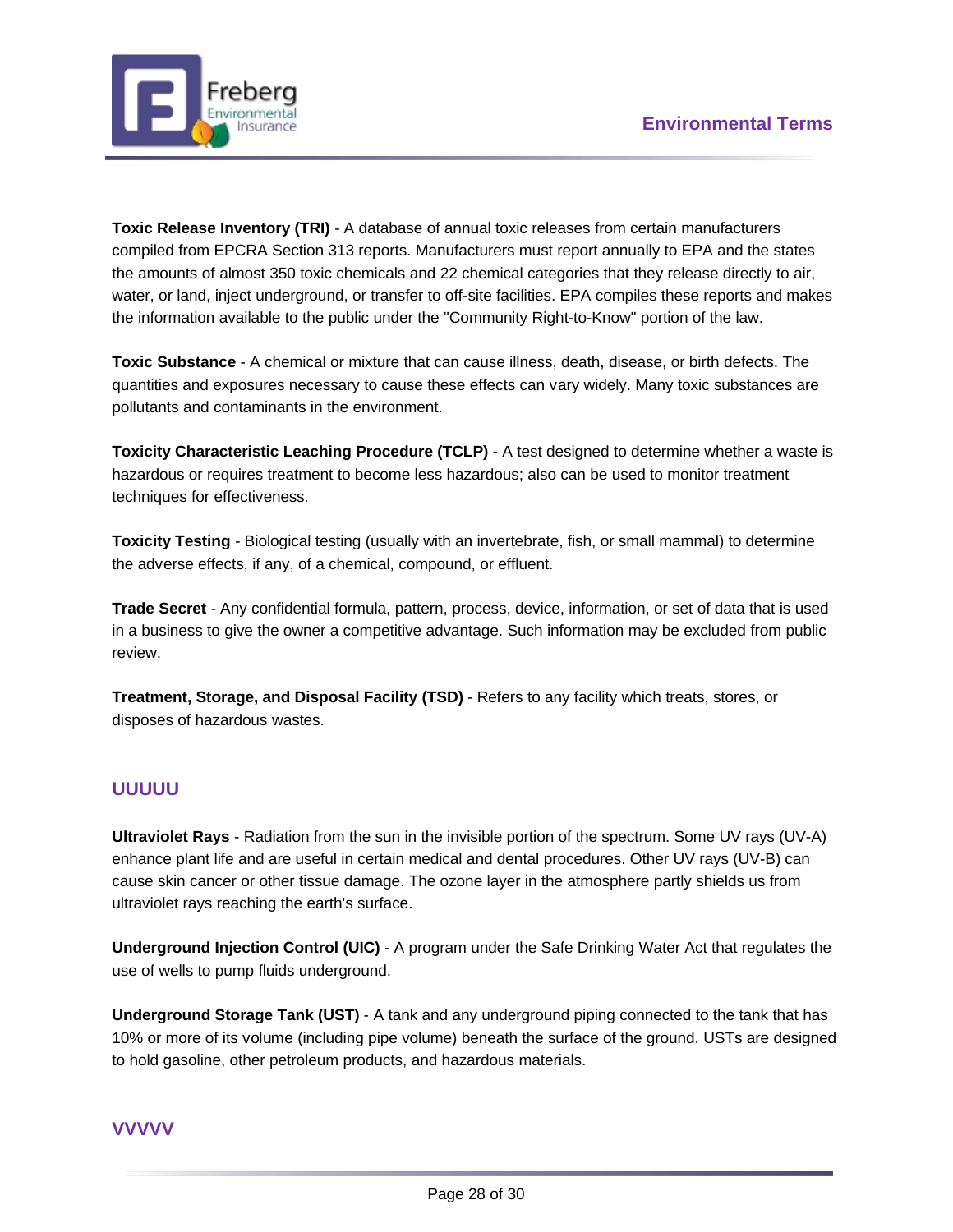

**Toxic Release Inventory (TRI)** - A database of annual toxic releases from certain manufacturers compiled from EPCRA Section 313 reports. Manufacturers must report annually to EPA and the states the amounts of almost 350 toxic chemicals and 22 chemical categories that they release directly to air, water, or land, inject underground, or transfer to off-site facilities. EPA compiles these reports and makes the information available to the public under the "Community Right-to-Know" portion of the law.

**Toxic Substance** - A chemical or mixture that can cause illness, death, disease, or birth defects. The quantities and exposures necessary to cause these effects can vary widely. Many toxic substances are pollutants and contaminants in the environment.

**Toxicity Characteristic Leaching Procedure (TCLP)** - A test designed to determine whether a waste is hazardous or requires treatment to become less hazardous; also can be used to monitor treatment techniques for effectiveness.

**Toxicity Testing** - Biological testing (usually with an invertebrate, fish, or small mammal) to determine the adverse effects, if any, of a chemical, compound, or effluent.

**Trade Secret** - Any confidential formula, pattern, process, device, information, or set of data that is used in a business to give the owner a competitive advantage. Such information may be excluded from public review.

**Treatment, Storage, and Disposal Facility (TSD)** - Refers to any facility which treats, stores, or disposes of hazardous wastes.

## **UUUUU**

**Ultraviolet Rays** - Radiation from the sun in the invisible portion of the spectrum. Some UV rays (UV-A) enhance plant life and are useful in certain medical and dental procedures. Other UV rays (UV-B) can cause skin cancer or other tissue damage. The ozone layer in the atmosphere partly shields us from ultraviolet rays reaching the earth's surface.

**Underground Injection Control (UIC)** - A program under the Safe Drinking Water Act that regulates the use of wells to pump fluids underground.

**Underground Storage Tank (UST)** - A tank and any underground piping connected to the tank that has 10% or more of its volume (including pipe volume) beneath the surface of the ground. USTs are designed to hold gasoline, other petroleum products, and hazardous materials.

### **VVVVV**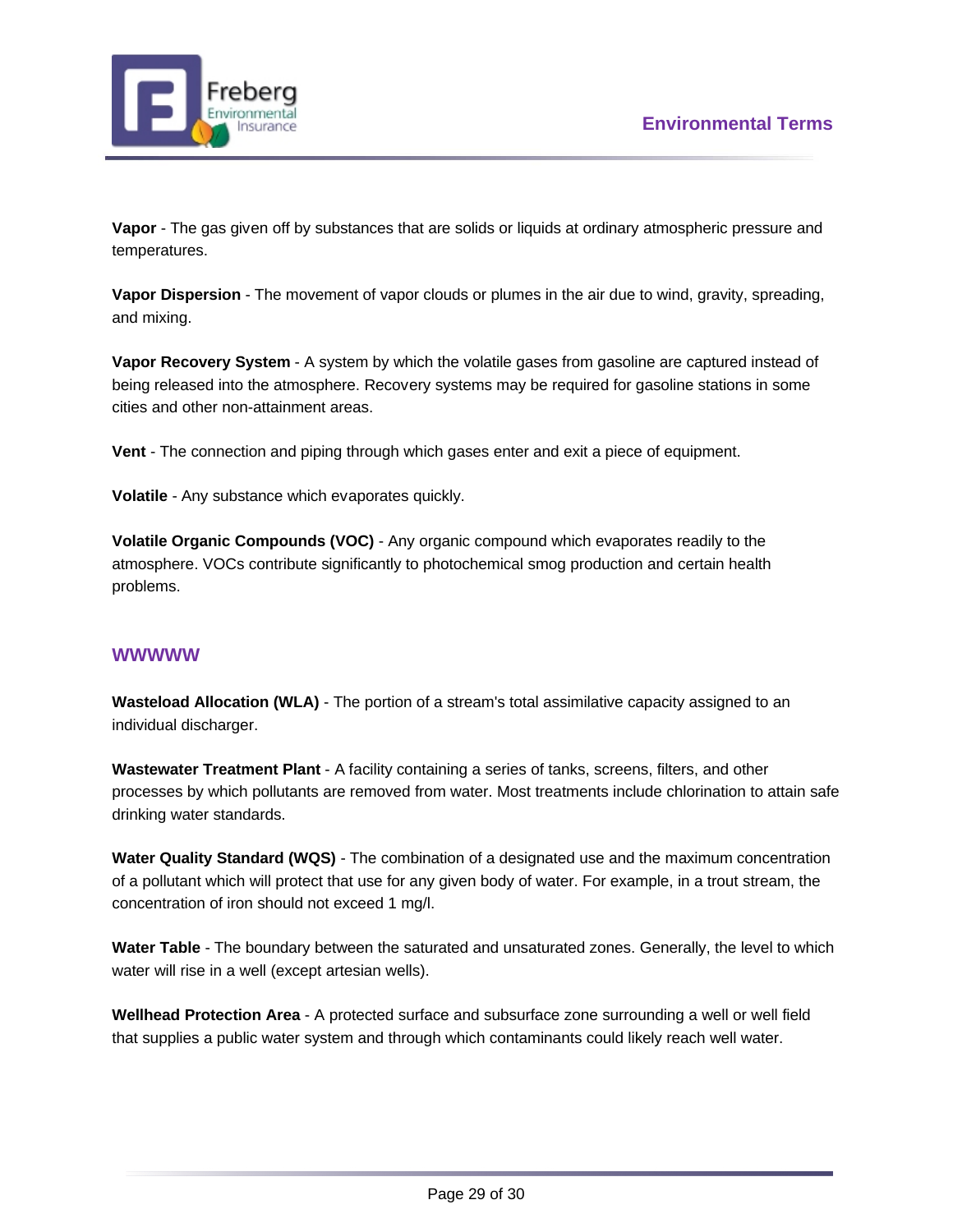

**Vapor** - The gas given off by substances that are solids or liquids at ordinary atmospheric pressure and temperatures.

**Vapor Dispersion** - The movement of vapor clouds or plumes in the air due to wind, gravity, spreading, and mixing.

**Vapor Recovery System** - A system by which the volatile gases from gasoline are captured instead of being released into the atmosphere. Recovery systems may be required for gasoline stations in some cities and other non-attainment areas.

**Vent** - The connection and piping through which gases enter and exit a piece of equipment.

**Volatile** - Any substance which evaporates quickly.

**Volatile Organic Compounds (VOC)** - Any organic compound which evaporates readily to the atmosphere. VOCs contribute significantly to photochemical smog production and certain health problems.

#### **WWWWW**

**Wasteload Allocation (WLA)** - The portion of a stream's total assimilative capacity assigned to an individual discharger.

**Wastewater Treatment Plant** - A facility containing a series of tanks, screens, filters, and other processes by which pollutants are removed from water. Most treatments include chlorination to attain safe drinking water standards.

**Water Quality Standard (WQS)** - The combination of a designated use and the maximum concentration of a pollutant which will protect that use for any given body of water. For example, in a trout stream, the concentration of iron should not exceed 1 mg/l.

**Water Table** - The boundary between the saturated and unsaturated zones. Generally, the level to which water will rise in a well (except artesian wells).

**Wellhead Protection Area** - A protected surface and subsurface zone surrounding a well or well field that supplies a public water system and through which contaminants could likely reach well water.